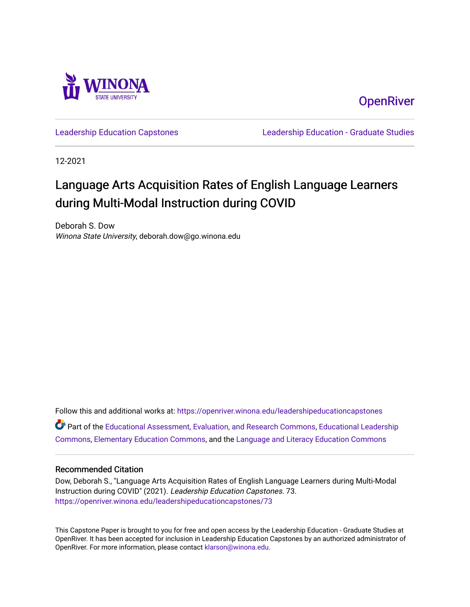

**OpenRiver** 

[Leadership Education Capstones](https://openriver.winona.edu/leadershipeducationcapstones) [Leadership Education - Graduate Studies](https://openriver.winona.edu/leadershipeducation) 

12-2021

# Language Arts Acquisition Rates of English Language Learners during Multi-Modal Instruction during COVID

Deborah S. Dow Winona State University, deborah.dow@go.winona.edu

Follow this and additional works at: [https://openriver.winona.edu/leadershipeducationcapstones](https://openriver.winona.edu/leadershipeducationcapstones?utm_source=openriver.winona.edu%2Fleadershipeducationcapstones%2F73&utm_medium=PDF&utm_campaign=PDFCoverPages)  Part of the [Educational Assessment, Evaluation, and Research Commons](http://network.bepress.com/hgg/discipline/796?utm_source=openriver.winona.edu%2Fleadershipeducationcapstones%2F73&utm_medium=PDF&utm_campaign=PDFCoverPages), [Educational Leadership](http://network.bepress.com/hgg/discipline/1230?utm_source=openriver.winona.edu%2Fleadershipeducationcapstones%2F73&utm_medium=PDF&utm_campaign=PDFCoverPages) [Commons](http://network.bepress.com/hgg/discipline/1230?utm_source=openriver.winona.edu%2Fleadershipeducationcapstones%2F73&utm_medium=PDF&utm_campaign=PDFCoverPages), [Elementary Education Commons,](http://network.bepress.com/hgg/discipline/1378?utm_source=openriver.winona.edu%2Fleadershipeducationcapstones%2F73&utm_medium=PDF&utm_campaign=PDFCoverPages) and the [Language and Literacy Education Commons](http://network.bepress.com/hgg/discipline/1380?utm_source=openriver.winona.edu%2Fleadershipeducationcapstones%2F73&utm_medium=PDF&utm_campaign=PDFCoverPages) 

#### Recommended Citation

Dow, Deborah S., "Language Arts Acquisition Rates of English Language Learners during Multi-Modal Instruction during COVID" (2021). Leadership Education Capstones. 73. [https://openriver.winona.edu/leadershipeducationcapstones/73](https://openriver.winona.edu/leadershipeducationcapstones/73?utm_source=openriver.winona.edu%2Fleadershipeducationcapstones%2F73&utm_medium=PDF&utm_campaign=PDFCoverPages) 

This Capstone Paper is brought to you for free and open access by the Leadership Education - Graduate Studies at OpenRiver. It has been accepted for inclusion in Leadership Education Capstones by an authorized administrator of OpenRiver. For more information, please contact [klarson@winona.edu](mailto:klarson@winona.edu).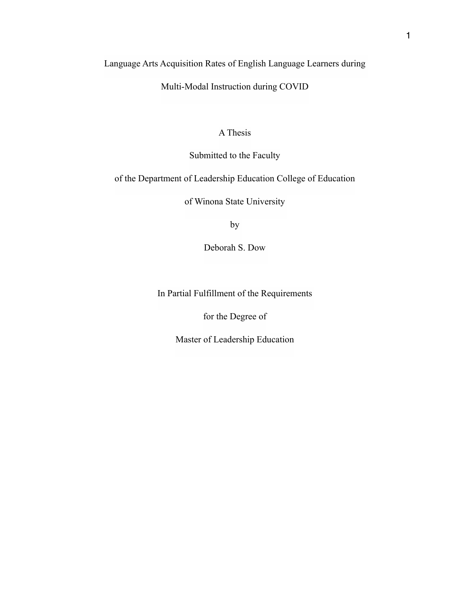Language Arts Acquisition Rates of English Language Learners during

Multi-Modal Instruction during COVID

## A Thesis

Submitted to the Faculty

of the Department of Leadership Education College of Education

of Winona State University

by

Deborah S. Dow

In Partial Fulfillment of the Requirements

for the Degree of

Master of Leadership Education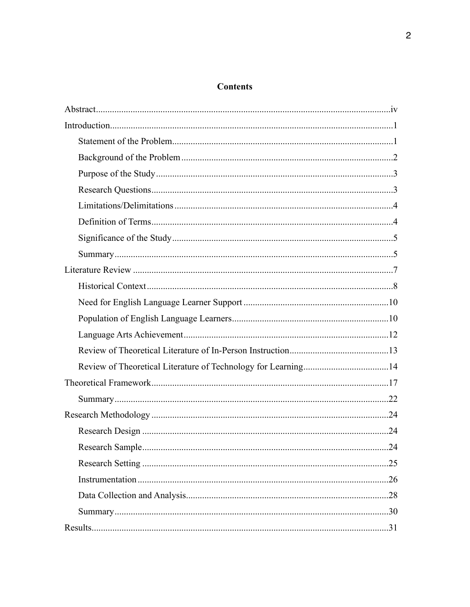## **Contents**

|  | .31 |
|--|-----|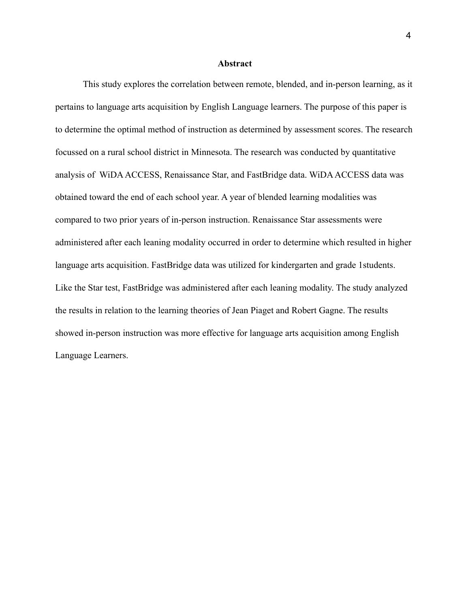#### **Abstract**

 This study explores the correlation between remote, blended, and in-person learning, as it pertains to language arts acquisition by English Language learners. The purpose of this paper is to determine the optimal method of instruction as determined by assessment scores. The research focussed on a rural school district in Minnesota. The research was conducted by quantitative analysis of WiDA ACCESS, Renaissance Star, and FastBridge data. WiDA ACCESS data was obtained toward the end of each school year. A year of blended learning modalities was compared to two prior years of in-person instruction. Renaissance Star assessments were administered after each leaning modality occurred in order to determine which resulted in higher language arts acquisition. FastBridge data was utilized for kindergarten and grade 1students. Like the Star test, FastBridge was administered after each leaning modality. The study analyzed the results in relation to the learning theories of Jean Piaget and Robert Gagne. The results showed in-person instruction was more effective for language arts acquisition among English Language Learners.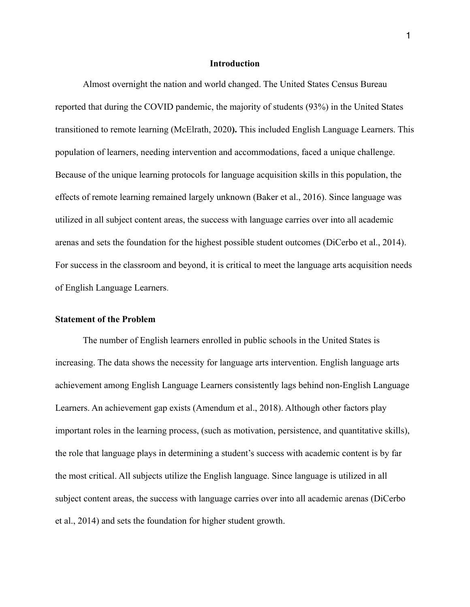#### **Introduction**

 Almost overnight the nation and world changed. The United States Census Bureau reported that during the COVID pandemic, the majority of students (93%) in the United States transitioned to remote learning (McElrath, 2020**).** This included English Language Learners. This population of learners, needing intervention and accommodations, faced a unique challenge. Because of the unique learning protocols for language acquisition skills in this population, the effects of remote learning remained largely unknown (Baker et al., 2016). Since language was utilized in all subject content areas, the success with language carries over into all academic arenas and sets the foundation for the highest possible student outcomes (DiCerbo et al., 2014). For success in the classroom and beyond, it is critical to meet the language arts acquisition needs of English Language Learners.

#### **Statement of the Problem**

The number of English learners enrolled in public schools in the United States is increasing. The data shows the necessity for language arts intervention. English language arts achievement among English Language Learners consistently lags behind non-English Language Learners. An achievement gap exists (Amendum et al., 2018). Although other factors play important roles in the learning process, (such as motivation, persistence, and quantitative skills), the role that language plays in determining a student's success with academic content is by far the most critical. All subjects utilize the English language. Since language is utilized in all subject content areas, the success with language carries over into all academic arenas (DiCerbo et al., 2014) and sets the foundation for higher student growth.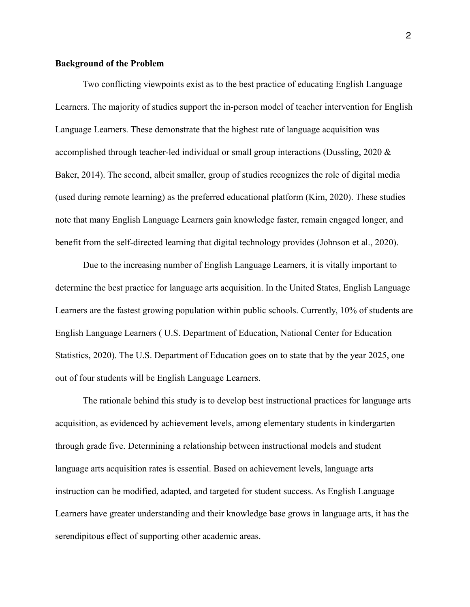#### **Background of the Problem**

 Two conflicting viewpoints exist as to the best practice of educating English Language Learners. The majority of studies support the in-person model of teacher intervention for English Language Learners. These demonstrate that the highest rate of language acquisition was accomplished through teacher-led individual or small group interactions (Dussling, 2020 & Baker, 2014). The second, albeit smaller, group of studies recognizes the role of digital media (used during remote learning) as the preferred educational platform (Kim, 2020). These studies note that many English Language Learners gain knowledge faster, remain engaged longer, and benefit from the self-directed learning that digital technology provides (Johnson et al., 2020).

 Due to the increasing number of English Language Learners, it is vitally important to determine the best practice for language arts acquisition. In the United States, English Language Learners are the fastest growing population within public schools. Currently, 10% of students are English Language Learners ( U.S. Department of Education, National Center for Education Statistics, 2020). The U.S. Department of Education goes on to state that by the year 2025, one out of four students will be English Language Learners.

 The rationale behind this study is to develop best instructional practices for language arts acquisition, as evidenced by achievement levels, among elementary students in kindergarten through grade five. Determining a relationship between instructional models and student language arts acquisition rates is essential. Based on achievement levels, language arts instruction can be modified, adapted, and targeted for student success. As English Language Learners have greater understanding and their knowledge base grows in language arts, it has the serendipitous effect of supporting other academic areas.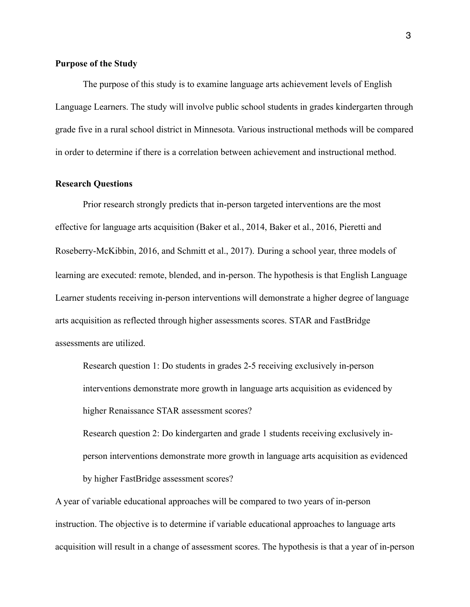#### **Purpose of the Study**

The purpose of this study is to examine language arts achievement levels of English Language Learners. The study will involve public school students in grades kindergarten through grade five in a rural school district in Minnesota. Various instructional methods will be compared in order to determine if there is a correlation between achievement and instructional method.

#### **Research Questions**

Prior research strongly predicts that in-person targeted interventions are the most effective for language arts acquisition (Baker et al., 2014, Baker et al., 2016, Pieretti and Roseberry-McKibbin, 2016, and Schmitt et al., 2017). During a school year, three models of learning are executed: remote, blended, and in-person. The hypothesis is that English Language Learner students receiving in-person interventions will demonstrate a higher degree of language arts acquisition as reflected through higher assessments scores. STAR and FastBridge assessments are utilized.

Research question 1: Do students in grades 2-5 receiving exclusively in-person interventions demonstrate more growth in language arts acquisition as evidenced by higher Renaissance STAR assessment scores?

Research question 2: Do kindergarten and grade 1 students receiving exclusively inperson interventions demonstrate more growth in language arts acquisition as evidenced by higher FastBridge assessment scores?

A year of variable educational approaches will be compared to two years of in-person instruction. The objective is to determine if variable educational approaches to language arts acquisition will result in a change of assessment scores. The hypothesis is that a year of in-person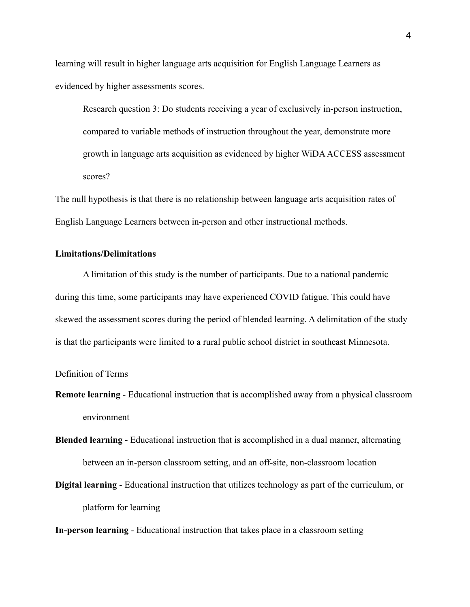learning will result in higher language arts acquisition for English Language Learners as evidenced by higher assessments scores.

Research question 3: Do students receiving a year of exclusively in-person instruction, compared to variable methods of instruction throughout the year, demonstrate more growth in language arts acquisition as evidenced by higher WiDA ACCESS assessment scores?

The null hypothesis is that there is no relationship between language arts acquisition rates of English Language Learners between in-person and other instructional methods.

## **Limitations/Delimitations**

 A limitation of this study is the number of participants. Due to a national pandemic during this time, some participants may have experienced COVID fatigue. This could have skewed the assessment scores during the period of blended learning. A delimitation of the study is that the participants were limited to a rural public school district in southeast Minnesota.

## Definition of Terms

- **Remote learning**  Educational instruction that is accomplished away from a physical classroom environment
- **Blended learning**  Educational instruction that is accomplished in a dual manner, alternating between an in-person classroom setting, and an off-site, non-classroom location
- **Digital learning**  Educational instruction that utilizes technology as part of the curriculum, or platform for learning

**In-person learning** - Educational instruction that takes place in a classroom setting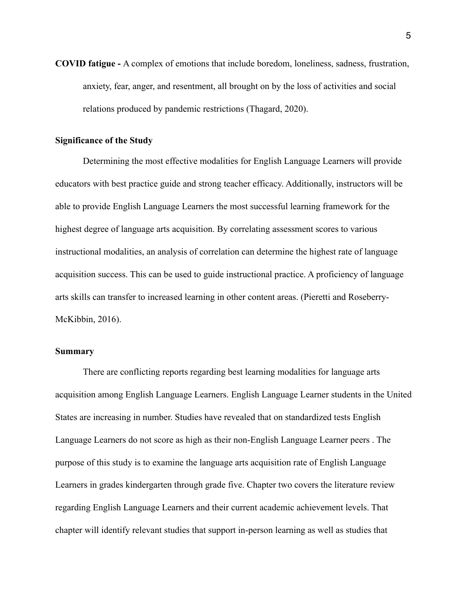**COVID fatigue -** A complex of emotions that include boredom, loneliness, sadness, frustration, anxiety, fear, anger, and resentment, all brought on by the loss of activities and social relations produced by pandemic restrictions (Thagard, 2020).

## **Significance of the Study**

Determining the most effective modalities for English Language Learners will provide educators with best practice guide and strong teacher efficacy. Additionally, instructors will be able to provide English Language Learners the most successful learning framework for the highest degree of language arts acquisition. By correlating assessment scores to various instructional modalities, an analysis of correlation can determine the highest rate of language acquisition success. This can be used to guide instructional practice. A proficiency of language arts skills can transfer to increased learning in other content areas. (Pieretti and Roseberry-McKibbin, 2016).

## **Summary**

There are conflicting reports regarding best learning modalities for language arts acquisition among English Language Learners. English Language Learner students in the United States are increasing in number. Studies have revealed that on standardized tests English Language Learners do not score as high as their non-English Language Learner peers . The purpose of this study is to examine the language arts acquisition rate of English Language Learners in grades kindergarten through grade five. Chapter two covers the literature review regarding English Language Learners and their current academic achievement levels. That chapter will identify relevant studies that support in-person learning as well as studies that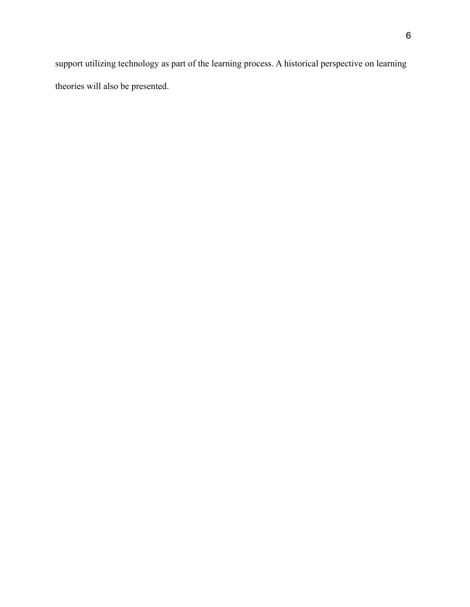support utilizing technology as part of the learning process. A historical perspective on learning theories will also be presented.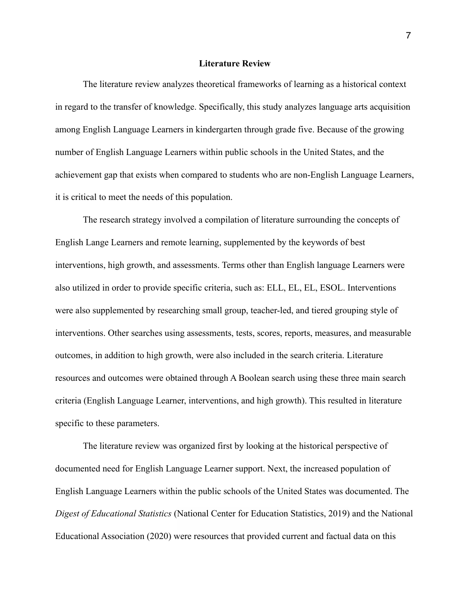#### **Literature Review**

The literature review analyzes theoretical frameworks of learning as a historical context in regard to the transfer of knowledge. Specifically, this study analyzes language arts acquisition among English Language Learners in kindergarten through grade five. Because of the growing number of English Language Learners within public schools in the United States, and the achievement gap that exists when compared to students who are non-English Language Learners, it is critical to meet the needs of this population.

 The research strategy involved a compilation of literature surrounding the concepts of English Lange Learners and remote learning, supplemented by the keywords of best interventions, high growth, and assessments. Terms other than English language Learners were also utilized in order to provide specific criteria, such as: ELL, EL, EL, ESOL. Interventions were also supplemented by researching small group, teacher-led, and tiered grouping style of interventions. Other searches using assessments, tests, scores, reports, measures, and measurable outcomes, in addition to high growth, were also included in the search criteria. Literature resources and outcomes were obtained through A Boolean search using these three main search criteria (English Language Learner, interventions, and high growth). This resulted in literature specific to these parameters.

 The literature review was organized first by looking at the historical perspective of documented need for English Language Learner support. Next, the increased population of English Language Learners within the public schools of the United States was documented. The *Digest of Educational Statistics* (National Center for Education Statistics, 2019) and the National Educational Association (2020) were resources that provided current and factual data on this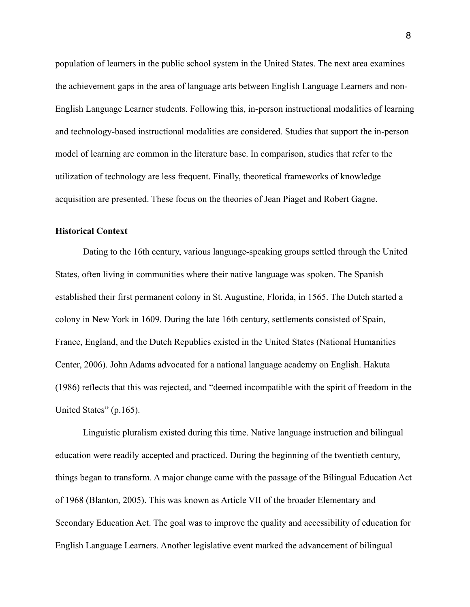population of learners in the public school system in the United States. The next area examines the achievement gaps in the area of language arts between English Language Learners and non-English Language Learner students. Following this, in-person instructional modalities of learning and technology-based instructional modalities are considered. Studies that support the in-person model of learning are common in the literature base. In comparison, studies that refer to the utilization of technology are less frequent. Finally, theoretical frameworks of knowledge acquisition are presented. These focus on the theories of Jean Piaget and Robert Gagne.

#### **Historical Context**

 Dating to the 16th century, various language-speaking groups settled through the United States, often living in communities where their native language was spoken. The Spanish established their first permanent colony in St. Augustine, Florida, in 1565. The Dutch started a colony in New York in 1609. During the late 16th century, settlements consisted of Spain, France, England, and the Dutch Republics existed in the United States (National Humanities Center, 2006). John Adams advocated for a national language academy on English. Hakuta (1986) reflects that this was rejected, and "deemed incompatible with the spirit of freedom in the United States" (p.165).

 Linguistic pluralism existed during this time. Native language instruction and bilingual education were readily accepted and practiced. During the beginning of the twentieth century, things began to transform. A major change came with the passage of the Bilingual Education Act of 1968 (Blanton, 2005). This was known as Article VII of the broader Elementary and Secondary Education Act. The goal was to improve the quality and accessibility of education for English Language Learners. Another legislative event marked the advancement of bilingual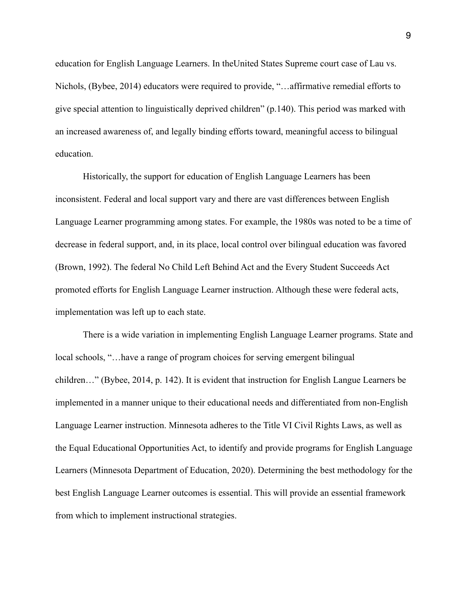education for English Language Learners. In theUnited States Supreme court case of Lau vs. Nichols, (Bybee, 2014) educators were required to provide, "…affirmative remedial efforts to give special attention to linguistically deprived children" (p.140). This period was marked with an increased awareness of, and legally binding efforts toward, meaningful access to bilingual education.

 Historically, the support for education of English Language Learners has been inconsistent. Federal and local support vary and there are vast differences between English Language Learner programming among states. For example, the 1980s was noted to be a time of decrease in federal support, and, in its place, local control over bilingual education was favored (Brown, 1992). The federal No Child Left Behind Act and the Every Student Succeeds Act promoted efforts for English Language Learner instruction. Although these were federal acts, implementation was left up to each state.

 There is a wide variation in implementing English Language Learner programs. State and local schools, "…have a range of program choices for serving emergent bilingual children…" (Bybee, 2014, p. 142). It is evident that instruction for English Langue Learners be implemented in a manner unique to their educational needs and differentiated from non-English Language Learner instruction. Minnesota adheres to the Title VI Civil Rights Laws, as well as the Equal Educational Opportunities Act, to identify and provide programs for English Language Learners (Minnesota Department of Education, 2020). Determining the best methodology for the best English Language Learner outcomes is essential. This will provide an essential framework from which to implement instructional strategies.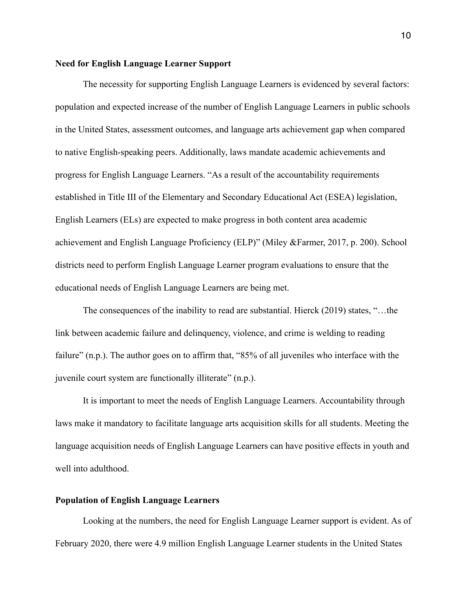#### **Need for English Language Learner Support**

 The necessity for supporting English Language Learners is evidenced by several factors: population and expected increase of the number of English Language Learners in public schools in the United States, assessment outcomes, and language arts achievement gap when compared to native English-speaking peers. Additionally, laws mandate academic achievements and progress for English Language Learners. "As a result of the accountability requirements established in Title III of the Elementary and Secondary Educational Act (ESEA) legislation, English Learners (ELs) are expected to make progress in both content area academic achievement and English Language Proficiency (ELP)" (Miley &Farmer, 2017, p. 200). School districts need to perform English Language Learner program evaluations to ensure that the educational needs of English Language Learners are being met.

 The consequences of the inability to read are substantial. Hierck (2019) states, "…the link between academic failure and delinquency, violence, and crime is welding to reading failure" (n.p.). The author goes on to affirm that, "85% of all juveniles who interface with the juvenile court system are functionally illiterate" (n.p.).

It is important to meet the needs of English Language Learners. Accountability through laws make it mandatory to facilitate language arts acquisition skills for all students. Meeting the language acquisition needs of English Language Learners can have positive effects in youth and well into adulthood.

#### **Population of English Language Learners**

 Looking at the numbers, the need for English Language Learner support is evident. As of February 2020, there were 4.9 million English Language Learner students in the United States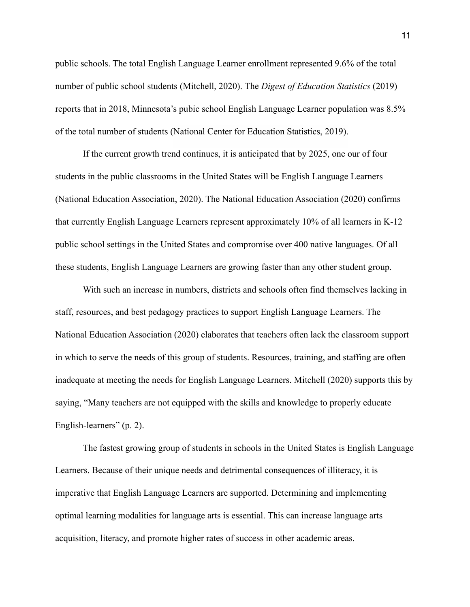public schools. The total English Language Learner enrollment represented 9.6% of the total number of public school students (Mitchell, 2020). The *Digest of Education Statistics* (2019) reports that in 2018, Minnesota's pubic school English Language Learner population was 8.5% of the total number of students (National Center for Education Statistics, 2019).

 If the current growth trend continues, it is anticipated that by 2025, one our of four students in the public classrooms in the United States will be English Language Learners (National Education Association, 2020). The National Education Association (2020) confirms that currently English Language Learners represent approximately 10% of all learners in K-12 public school settings in the United States and compromise over 400 native languages. Of all these students, English Language Learners are growing faster than any other student group.

 With such an increase in numbers, districts and schools often find themselves lacking in staff, resources, and best pedagogy practices to support English Language Learners. The National Education Association (2020) elaborates that teachers often lack the classroom support in which to serve the needs of this group of students. Resources, training, and staffing are often inadequate at meeting the needs for English Language Learners. Mitchell (2020) supports this by saying, "Many teachers are not equipped with the skills and knowledge to properly educate English-learners" (p. 2).

 The fastest growing group of students in schools in the United States is English Language Learners. Because of their unique needs and detrimental consequences of illiteracy, it is imperative that English Language Learners are supported. Determining and implementing optimal learning modalities for language arts is essential. This can increase language arts acquisition, literacy, and promote higher rates of success in other academic areas.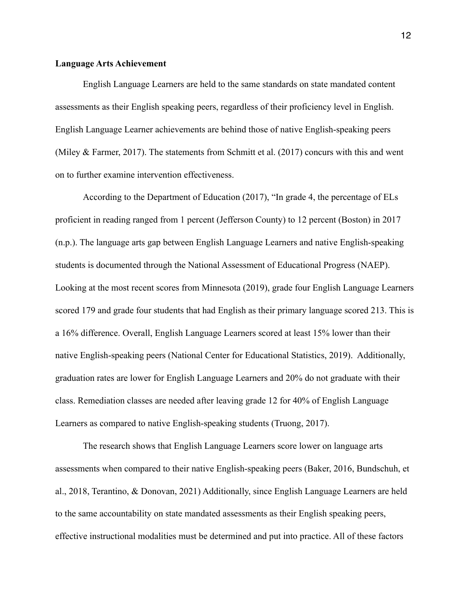#### **Language Arts Achievement**

English Language Learners are held to the same standards on state mandated content assessments as their English speaking peers, regardless of their proficiency level in English. English Language Learner achievements are behind those of native English-speaking peers (Miley & Farmer, 2017). The statements from Schmitt et al. (2017) concurs with this and went on to further examine intervention effectiveness.

 According to the Department of Education (2017), "In grade 4, the percentage of ELs proficient in reading ranged from 1 percent (Jefferson County) to 12 percent (Boston) in 2017 (n.p.). The language arts gap between English Language Learners and native English-speaking students is documented through the National Assessment of Educational Progress (NAEP). Looking at the most recent scores from Minnesota (2019), grade four English Language Learners scored 179 and grade four students that had English as their primary language scored 213. This is a 16% difference. Overall, English Language Learners scored at least 15% lower than their native English-speaking peers (National Center for Educational Statistics, 2019). Additionally, graduation rates are lower for English Language Learners and 20% do not graduate with their class. Remediation classes are needed after leaving grade 12 for 40% of English Language Learners as compared to native English-speaking students (Truong, 2017).

 The research shows that English Language Learners score lower on language arts assessments when compared to their native English-speaking peers (Baker, 2016, Bundschuh, et al., 2018, Terantino, & Donovan, 2021) Additionally, since English Language Learners are held to the same accountability on state mandated assessments as their English speaking peers, effective instructional modalities must be determined and put into practice. All of these factors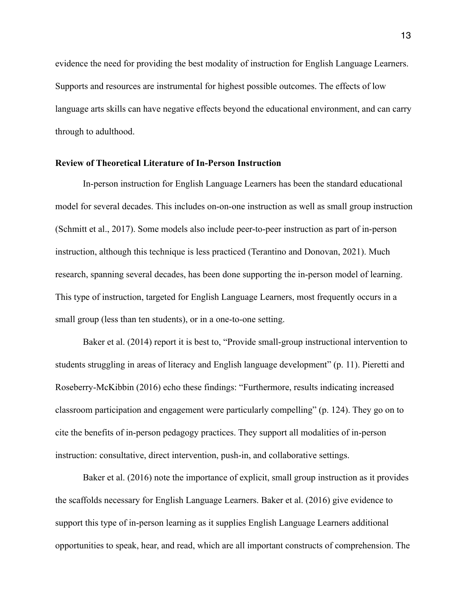evidence the need for providing the best modality of instruction for English Language Learners. Supports and resources are instrumental for highest possible outcomes. The effects of low language arts skills can have negative effects beyond the educational environment, and can carry through to adulthood.

## **Review of Theoretical Literature of In-Person Instruction**

 In-person instruction for English Language Learners has been the standard educational model for several decades. This includes on-on-one instruction as well as small group instruction (Schmitt et al., 2017). Some models also include peer-to-peer instruction as part of in-person instruction, although this technique is less practiced (Terantino and Donovan, 2021). Much research, spanning several decades, has been done supporting the in-person model of learning. This type of instruction, targeted for English Language Learners, most frequently occurs in a small group (less than ten students), or in a one-to-one setting.

 Baker et al. (2014) report it is best to, "Provide small-group instructional intervention to students struggling in areas of literacy and English language development" (p. 11). Pieretti and Roseberry-McKibbin (2016) echo these findings: "Furthermore, results indicating increased classroom participation and engagement were particularly compelling" (p. 124). They go on to cite the benefits of in-person pedagogy practices. They support all modalities of in-person instruction: consultative, direct intervention, push-in, and collaborative settings.

 Baker et al. (2016) note the importance of explicit, small group instruction as it provides the scaffolds necessary for English Language Learners. Baker et al. (2016) give evidence to support this type of in-person learning as it supplies English Language Learners additional opportunities to speak, hear, and read, which are all important constructs of comprehension. The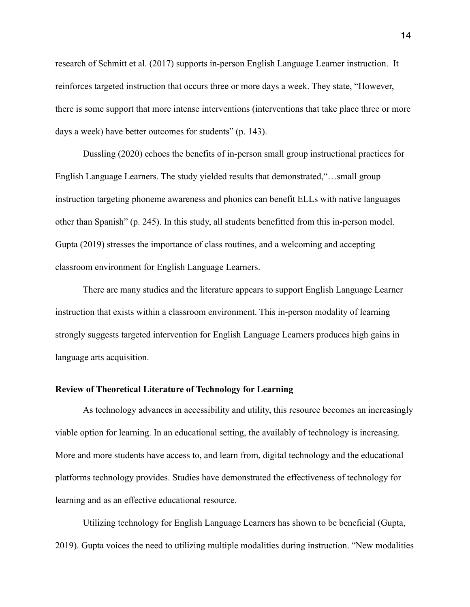research of Schmitt et al. (2017) supports in-person English Language Learner instruction. It reinforces targeted instruction that occurs three or more days a week. They state, "However, there is some support that more intense interventions (interventions that take place three or more days a week) have better outcomes for students" (p. 143).

 Dussling (2020) echoes the benefits of in-person small group instructional practices for English Language Learners. The study yielded results that demonstrated,"…small group instruction targeting phoneme awareness and phonics can benefit ELLs with native languages other than Spanish" (p. 245). In this study, all students benefitted from this in-person model. Gupta (2019) stresses the importance of class routines, and a welcoming and accepting classroom environment for English Language Learners.

 There are many studies and the literature appears to support English Language Learner instruction that exists within a classroom environment. This in-person modality of learning strongly suggests targeted intervention for English Language Learners produces high gains in language arts acquisition.

## **Review of Theoretical Literature of Technology for Learning**

 As technology advances in accessibility and utility, this resource becomes an increasingly viable option for learning. In an educational setting, the availably of technology is increasing. More and more students have access to, and learn from, digital technology and the educational platforms technology provides. Studies have demonstrated the effectiveness of technology for learning and as an effective educational resource.

 Utilizing technology for English Language Learners has shown to be beneficial (Gupta, 2019). Gupta voices the need to utilizing multiple modalities during instruction. "New modalities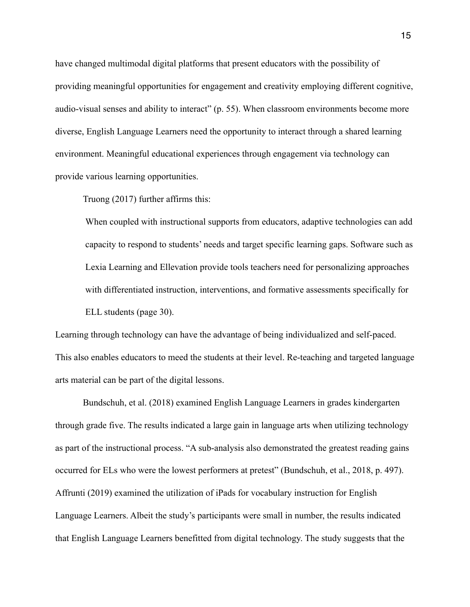have changed multimodal digital platforms that present educators with the possibility of providing meaningful opportunities for engagement and creativity employing different cognitive, audio-visual senses and ability to interact" (p. 55). When classroom environments become more diverse, English Language Learners need the opportunity to interact through a shared learning environment. Meaningful educational experiences through engagement via technology can provide various learning opportunities.

Truong (2017) further affirms this:

When coupled with instructional supports from educators, adaptive technologies can add capacity to respond to students' needs and target specific learning gaps. Software such as Lexia Learning and Ellevation provide tools teachers need for personalizing approaches with differentiated instruction, interventions, and formative assessments specifically for ELL students (page 30).

Learning through technology can have the advantage of being individualized and self-paced. This also enables educators to meed the students at their level. Re-teaching and targeted language arts material can be part of the digital lessons.

 Bundschuh, et al. (2018) examined English Language Learners in grades kindergarten through grade five. The results indicated a large gain in language arts when utilizing technology as part of the instructional process. "A sub-analysis also demonstrated the greatest reading gains occurred for ELs who were the lowest performers at pretest" (Bundschuh, et al., 2018, p. 497). Affrunti (2019) examined the utilization of iPads for vocabulary instruction for English Language Learners. Albeit the study's participants were small in number, the results indicated that English Language Learners benefitted from digital technology. The study suggests that the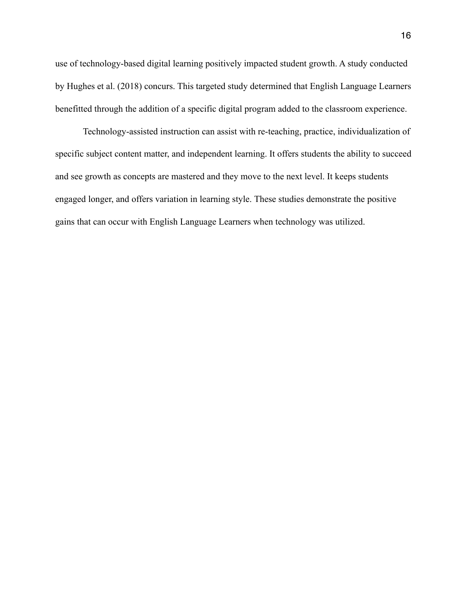use of technology-based digital learning positively impacted student growth. A study conducted by Hughes et al. (2018) concurs. This targeted study determined that English Language Learners benefitted through the addition of a specific digital program added to the classroom experience.

Technology-assisted instruction can assist with re-teaching, practice, individualization of specific subject content matter, and independent learning. It offers students the ability to succeed and see growth as concepts are mastered and they move to the next level. It keeps students engaged longer, and offers variation in learning style. These studies demonstrate the positive gains that can occur with English Language Learners when technology was utilized.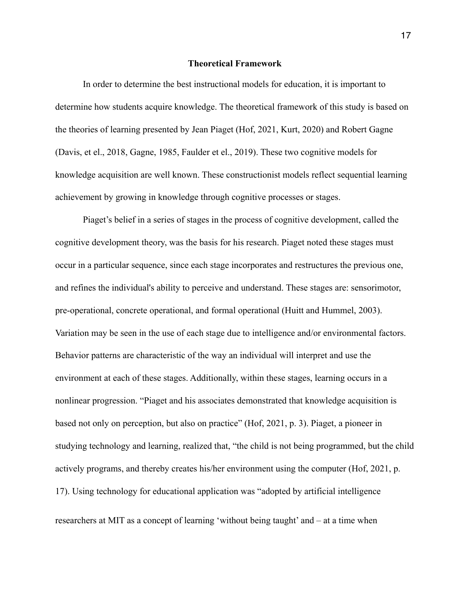#### **Theoretical Framework**

In order to determine the best instructional models for education, it is important to determine how students acquire knowledge. The theoretical framework of this study is based on the theories of learning presented by Jean Piaget (Hof, 2021, Kurt, 2020) and Robert Gagne (Davis, et el., 2018, Gagne, 1985, Faulder et el., 2019). These two cognitive models for knowledge acquisition are well known. These constructionist models reflect sequential learning achievement by growing in knowledge through cognitive processes or stages.

 Piaget's belief in a series of stages in the process of cognitive development, called the cognitive development theory, was the basis for his research. Piaget noted these stages must occur in a particular sequence, since each stage incorporates and restructures the previous one, and refines the individual's ability to perceive and understand. These stages are: sensorimotor, pre-operational, concrete operational, and formal operational (Huitt and Hummel, 2003). Variation may be seen in the use of each stage due to intelligence and/or environmental factors. Behavior patterns are characteristic of the way an individual will interpret and use the environment at each of these stages. Additionally, within these stages, learning occurs in a nonlinear progression. "Piaget and his associates demonstrated that knowledge acquisition is based not only on perception, but also on practice" (Hof, 2021, p. 3). Piaget, a pioneer in studying technology and learning, realized that, "the child is not being programmed, but the child actively programs, and thereby creates his/her environment using the computer (Hof, 2021, p. 17). Using technology for educational application was "adopted by artificial intelligence researchers at MIT as a concept of learning 'without being taught' and – at a time when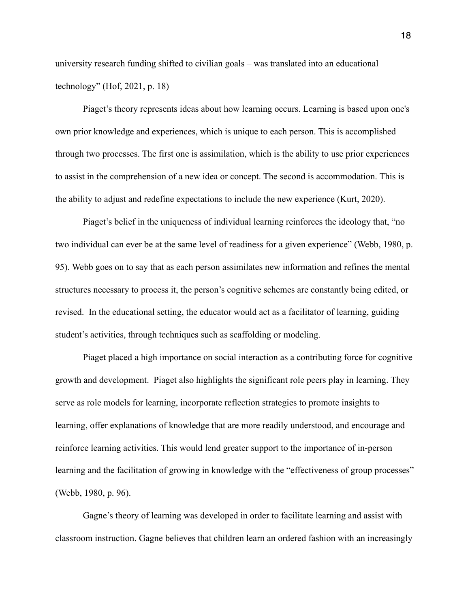university research funding shifted to civilian goals – was translated into an educational technology" (Hof, 2021, p. 18)

Piaget's theory represents ideas about how learning occurs. Learning is based upon one's own prior knowledge and experiences, which is unique to each person. This is accomplished through two processes. The first one is assimilation, which is the ability to use prior experiences to assist in the comprehension of a new idea or concept. The second is accommodation. This is the ability to adjust and redefine expectations to include the new experience (Kurt, 2020).

 Piaget's belief in the uniqueness of individual learning reinforces the ideology that, "no two individual can ever be at the same level of readiness for a given experience" (Webb, 1980, p. 95). Webb goes on to say that as each person assimilates new information and refines the mental structures necessary to process it, the person's cognitive schemes are constantly being edited, or revised. In the educational setting, the educator would act as a facilitator of learning, guiding student's activities, through techniques such as scaffolding or modeling.

 Piaget placed a high importance on social interaction as a contributing force for cognitive growth and development. Piaget also highlights the significant role peers play in learning. They serve as role models for learning, incorporate reflection strategies to promote insights to learning, offer explanations of knowledge that are more readily understood, and encourage and reinforce learning activities. This would lend greater support to the importance of in-person learning and the facilitation of growing in knowledge with the "effectiveness of group processes" (Webb, 1980, p. 96).

 Gagne's theory of learning was developed in order to facilitate learning and assist with classroom instruction. Gagne believes that children learn an ordered fashion with an increasingly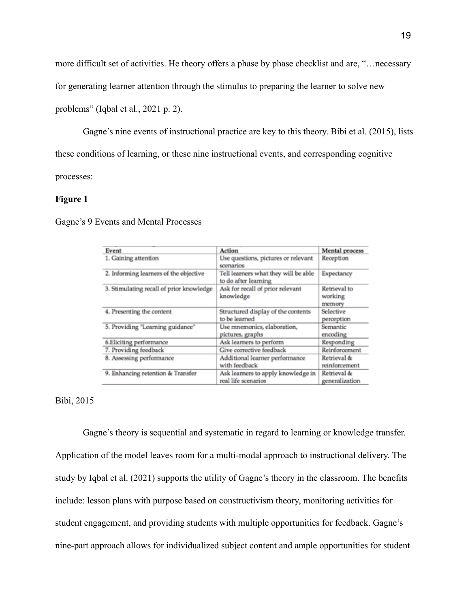more difficult set of activities. He theory offers a phase by phase checklist and are, "…necessary

for generating learner attention through the stimulus to preparing the learner to solve new

problems" (Iqbal et al., 2021 p. 2).

 Gagne's nine events of instructional practice are key to this theory. Bibi et al. (2015), lists these conditions of learning, or these nine instructional events, and corresponding cognitive processes:

## **Figure 1**

Gagne's 9 Events and Mental Processes

| Event                                    | <b>Action</b>                                                | <b>Mental</b> process             |
|------------------------------------------|--------------------------------------------------------------|-----------------------------------|
| 1. Gaining attention                     | Use questions, pictures or relevant<br>scenarios             | Reception                         |
| 2. Informing learners of the objective   | Tell learners what they will be able<br>to do after learning | Expectancy                        |
| 3. Stimulating recall of prior knowledge | Ask for recall of prior relevant<br>knowledge                | Retrieval to<br>working<br>memory |
| 4. Presenting the content                | Structured display of the contents<br>to be learned          | Selective<br>perception           |
| 5. Providing "Learning guidance"         | Use mnemonics, elaboration,<br>pictures, graphs              | Semantic<br>encoding              |
| 6.Eliciting performance                  | Ask learners to perform                                      | Responding                        |
| 7. Providing feedback                    | Give corrective feedback                                     | Reinforcement                     |
| 8. Assessing performance                 | Additional learner performance<br>with feedback              | Retrieval &<br>reinforcement      |
| 9. Enhancing retention & Transfer        | Ask learners to apply knowledge in<br>real life scenarios    | Retrieval &<br>generalization     |

## Bibi, 2015

 Gagne's theory is sequential and systematic in regard to learning or knowledge transfer. Application of the model leaves room for a multi-modal approach to instructional delivery. The study by Iqbal et al. (2021) supports the utility of Gagne's theory in the classroom. The benefits include: lesson plans with purpose based on constructivism theory, monitoring activities for student engagement, and providing students with multiple opportunities for feedback. Gagne's nine-part approach allows for individualized subject content and ample opportunities for student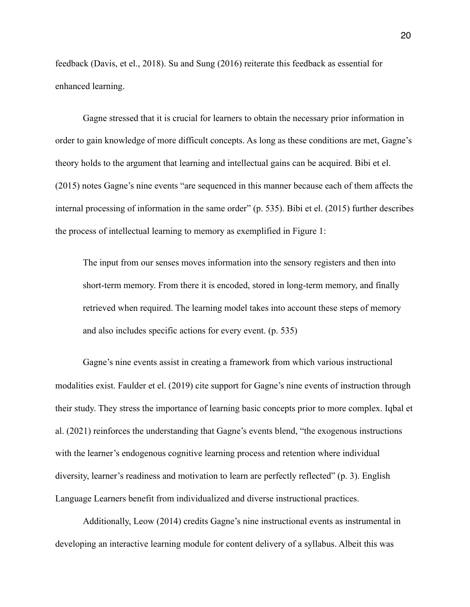feedback (Davis, et el., 2018). Su and Sung (2016) reiterate this feedback as essential for enhanced learning.

Gagne stressed that it is crucial for learners to obtain the necessary prior information in order to gain knowledge of more difficult concepts. As long as these conditions are met, Gagne's theory holds to the argument that learning and intellectual gains can be acquired. Bibi et el. (2015) notes Gagne's nine events "are sequenced in this manner because each of them affects the internal processing of information in the same order" (p. 535). Bibi et el. (2015) further describes the process of intellectual learning to memory as exemplified in Figure 1:

The input from our senses moves information into the sensory registers and then into short-term memory. From there it is encoded, stored in long-term memory, and finally retrieved when required. The learning model takes into account these steps of memory and also includes specific actions for every event. (p. 535)

Gagne's nine events assist in creating a framework from which various instructional modalities exist. Faulder et el. (2019) cite support for Gagne's nine events of instruction through their study. They stress the importance of learning basic concepts prior to more complex. Iqbal et al. (2021) reinforces the understanding that Gagne's events blend, "the exogenous instructions with the learner's endogenous cognitive learning process and retention where individual diversity, learner's readiness and motivation to learn are perfectly reflected" (p. 3). English Language Learners benefit from individualized and diverse instructional practices.

 Additionally, Leow (2014) credits Gagne's nine instructional events as instrumental in developing an interactive learning module for content delivery of a syllabus. Albeit this was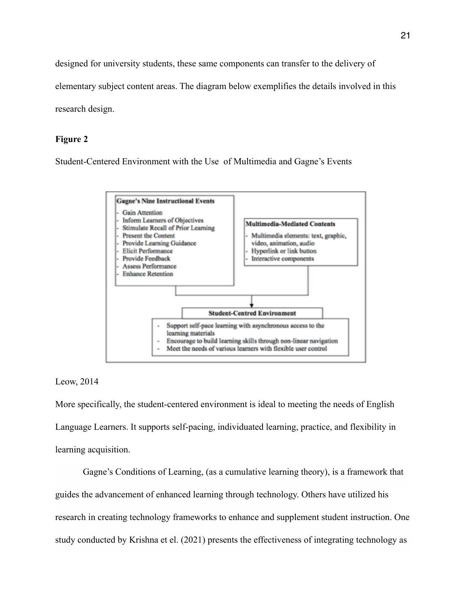designed for university students, these same components can transfer to the delivery of elementary subject content areas. The diagram below exemplifies the details involved in this

research design.

## **Figure 2**

Student-Centered Environment with the Use of Multimedia and Gagne's Events



#### Leow, 2014

More specifically, the student-centered environment is ideal to meeting the needs of English Language Learners. It supports self-pacing, individuated learning, practice, and flexibility in learning acquisition.

Gagne's Conditions of Learning, (as a cumulative learning theory), is a framework that guides the advancement of enhanced learning through technology. Others have utilized his research in creating technology frameworks to enhance and supplement student instruction. One study conducted by Krishna et el. (2021) presents the effectiveness of integrating technology as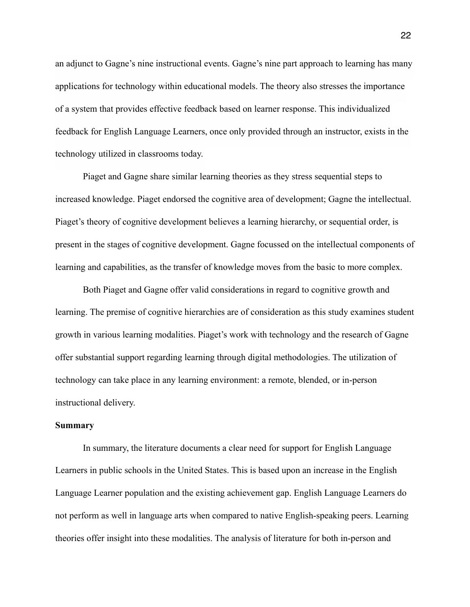an adjunct to Gagne's nine instructional events. Gagne's nine part approach to learning has many applications for technology within educational models. The theory also stresses the importance of a system that provides effective feedback based on learner response. This individualized feedback for English Language Learners, once only provided through an instructor, exists in the technology utilized in classrooms today.

Piaget and Gagne share similar learning theories as they stress sequential steps to increased knowledge. Piaget endorsed the cognitive area of development; Gagne the intellectual. Piaget's theory of cognitive development believes a learning hierarchy, or sequential order, is present in the stages of cognitive development. Gagne focussed on the intellectual components of learning and capabilities, as the transfer of knowledge moves from the basic to more complex.

Both Piaget and Gagne offer valid considerations in regard to cognitive growth and learning. The premise of cognitive hierarchies are of consideration as this study examines student growth in various learning modalities. Piaget's work with technology and the research of Gagne offer substantial support regarding learning through digital methodologies. The utilization of technology can take place in any learning environment: a remote, blended, or in-person instructional delivery.

## **Summary**

 In summary, the literature documents a clear need for support for English Language Learners in public schools in the United States. This is based upon an increase in the English Language Learner population and the existing achievement gap. English Language Learners do not perform as well in language arts when compared to native English-speaking peers. Learning theories offer insight into these modalities. The analysis of literature for both in-person and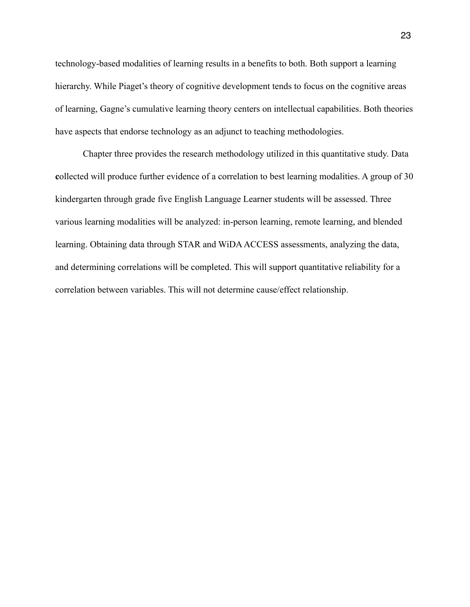technology-based modalities of learning results in a benefits to both. Both support a learning hierarchy. While Piaget's theory of cognitive development tends to focus on the cognitive areas of learning, Gagne's cumulative learning theory centers on intellectual capabilities. Both theories have aspects that endorse technology as an adjunct to teaching methodologies.

Chapter three provides the research methodology utilized in this quantitative study. Data **c**ollected will produce further evidence of a correlation to best learning modalities. A group of 30 kindergarten through grade five English Language Learner students will be assessed. Three various learning modalities will be analyzed: in-person learning, remote learning, and blended learning. Obtaining data through STAR and WiDA ACCESS assessments, analyzing the data, and determining correlations will be completed. This will support quantitative reliability for a correlation between variables. This will not determine cause/effect relationship.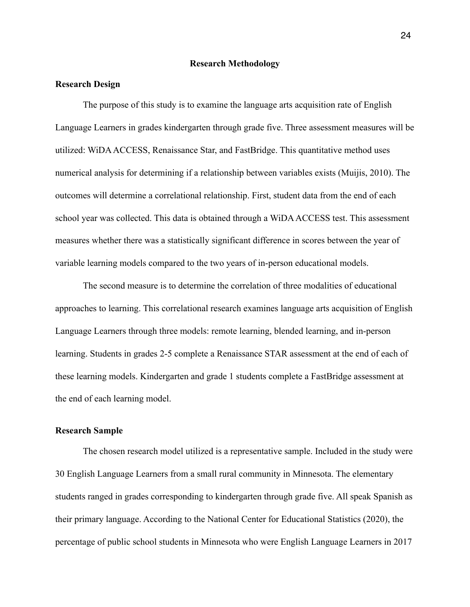#### **Research Methodology**

## **Research Design**

The purpose of this study is to examine the language arts acquisition rate of English Language Learners in grades kindergarten through grade five. Three assessment measures will be utilized: WiDA ACCESS, Renaissance Star, and FastBridge. This quantitative method uses numerical analysis for determining if a relationship between variables exists (Muijis, 2010). The outcomes will determine a correlational relationship. First, student data from the end of each school year was collected. This data is obtained through a WiDA ACCESS test. This assessment measures whether there was a statistically significant difference in scores between the year of variable learning models compared to the two years of in-person educational models.

 The second measure is to determine the correlation of three modalities of educational approaches to learning. This correlational research examines language arts acquisition of English Language Learners through three models: remote learning, blended learning, and in-person learning. Students in grades 2-5 complete a Renaissance STAR assessment at the end of each of these learning models. Kindergarten and grade 1 students complete a FastBridge assessment at the end of each learning model.

## **Research Sample**

 The chosen research model utilized is a representative sample. Included in the study were 30 English Language Learners from a small rural community in Minnesota. The elementary students ranged in grades corresponding to kindergarten through grade five. All speak Spanish as their primary language. According to the National Center for Educational Statistics (2020), the percentage of public school students in Minnesota who were English Language Learners in 2017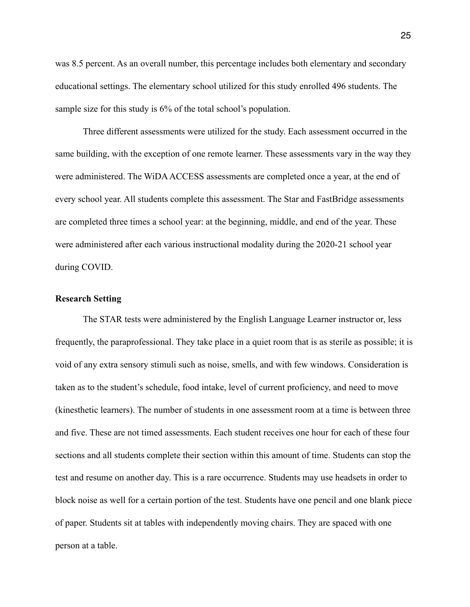was 8.5 percent. As an overall number, this percentage includes both elementary and secondary educational settings. The elementary school utilized for this study enrolled 496 students. The sample size for this study is 6% of the total school's population.

 Three different assessments were utilized for the study. Each assessment occurred in the same building, with the exception of one remote learner. These assessments vary in the way they were administered. The WiDA ACCESS assessments are completed once a year, at the end of every school year. All students complete this assessment. The Star and FastBridge assessments are completed three times a school year: at the beginning, middle, and end of the year. These were administered after each various instructional modality during the 2020-21 school year during COVID.

#### **Research Setting**

 The STAR tests were administered by the English Language Learner instructor or, less frequently, the paraprofessional. They take place in a quiet room that is as sterile as possible; it is void of any extra sensory stimuli such as noise, smells, and with few windows. Consideration is taken as to the student's schedule, food intake, level of current proficiency, and need to move (kinesthetic learners). The number of students in one assessment room at a time is between three and five. These are not timed assessments. Each student receives one hour for each of these four sections and all students complete their section within this amount of time. Students can stop the test and resume on another day. This is a rare occurrence. Students may use headsets in order to block noise as well for a certain portion of the test. Students have one pencil and one blank piece of paper. Students sit at tables with independently moving chairs. They are spaced with one person at a table.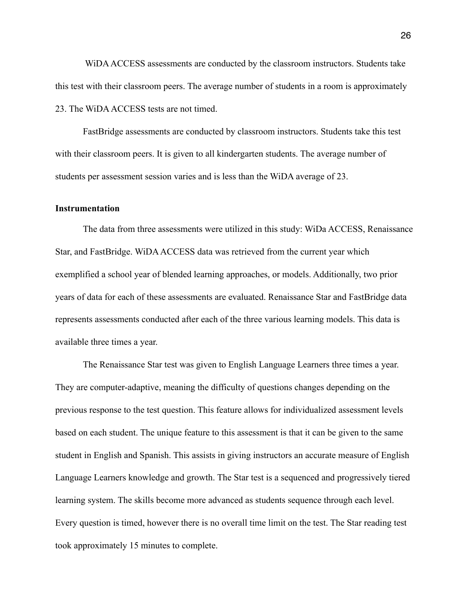WiDA ACCESS assessments are conducted by the classroom instructors. Students take this test with their classroom peers. The average number of students in a room is approximately 23. The WiDA ACCESS tests are not timed.

 FastBridge assessments are conducted by classroom instructors. Students take this test with their classroom peers. It is given to all kindergarten students. The average number of students per assessment session varies and is less than the WiDA average of 23.

#### **Instrumentation**

 The data from three assessments were utilized in this study: WiDa ACCESS, Renaissance Star, and FastBridge. WiDA ACCESS data was retrieved from the current year which exemplified a school year of blended learning approaches, or models. Additionally, two prior years of data for each of these assessments are evaluated. Renaissance Star and FastBridge data represents assessments conducted after each of the three various learning models. This data is available three times a year.

 The Renaissance Star test was given to English Language Learners three times a year. They are computer-adaptive, meaning the difficulty of questions changes depending on the previous response to the test question. This feature allows for individualized assessment levels based on each student. The unique feature to this assessment is that it can be given to the same student in English and Spanish. This assists in giving instructors an accurate measure of English Language Learners knowledge and growth. The Star test is a sequenced and progressively tiered learning system. The skills become more advanced as students sequence through each level. Every question is timed, however there is no overall time limit on the test. The Star reading test took approximately 15 minutes to complete.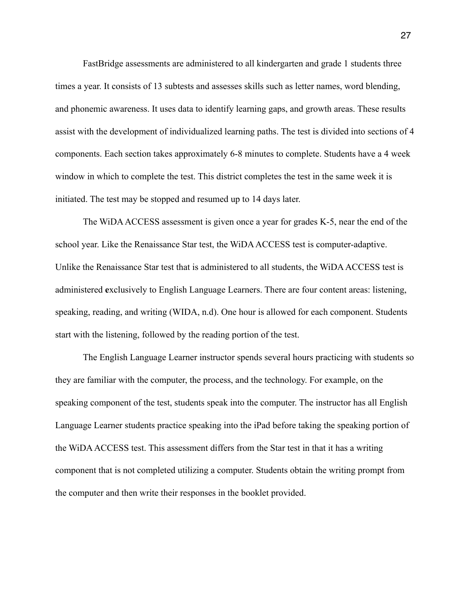FastBridge assessments are administered to all kindergarten and grade 1 students three times a year. It consists of 13 subtests and assesses skills such as letter names, word blending, and phonemic awareness. It uses data to identify learning gaps, and growth areas. These results assist with the development of individualized learning paths. The test is divided into sections of 4 components. Each section takes approximately 6-8 minutes to complete. Students have a 4 week window in which to complete the test. This district completes the test in the same week it is initiated. The test may be stopped and resumed up to 14 days later.

 The WiDA ACCESS assessment is given once a year for grades K-5, near the end of the school year. Like the Renaissance Star test, the WiDA ACCESS test is computer-adaptive. Unlike the Renaissance Star test that is administered to all students, the WiDA ACCESS test is administered **e**xclusively to English Language Learners. There are four content areas: listening, speaking, reading, and writing (WIDA, n.d). One hour is allowed for each component. Students start with the listening, followed by the reading portion of the test.

 The English Language Learner instructor spends several hours practicing with students so they are familiar with the computer, the process, and the technology. For example, on the speaking component of the test, students speak into the computer. The instructor has all English Language Learner students practice speaking into the iPad before taking the speaking portion of the WiDA ACCESS test. This assessment differs from the Star test in that it has a writing component that is not completed utilizing a computer. Students obtain the writing prompt from the computer and then write their responses in the booklet provided.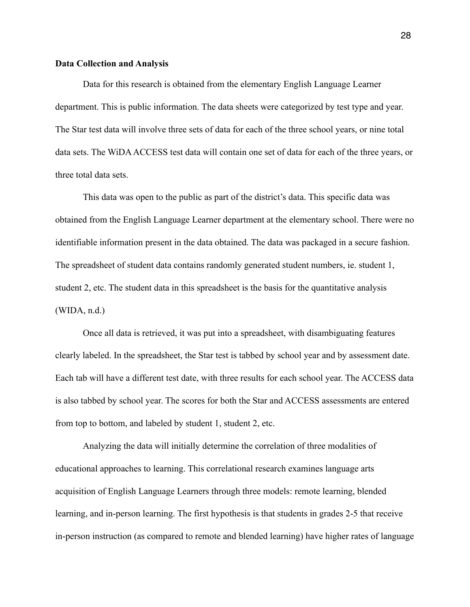#### **Data Collection and Analysis**

 Data for this research is obtained from the elementary English Language Learner department. This is public information. The data sheets were categorized by test type and year. The Star test data will involve three sets of data for each of the three school years, or nine total data sets. The WiDA ACCESS test data will contain one set of data for each of the three years, or three total data sets.

 This data was open to the public as part of the district's data. This specific data was obtained from the English Language Learner department at the elementary school. There were no identifiable information present in the data obtained. The data was packaged in a secure fashion. The spreadsheet of student data contains randomly generated student numbers, ie. student 1, student 2, etc. The student data in this spreadsheet is the basis for the quantitative analysis (WIDA, n.d.)

Once all data is retrieved, it was put into a spreadsheet, with disambiguating features clearly labeled. In the spreadsheet, the Star test is tabbed by school year and by assessment date. Each tab will have a different test date, with three results for each school year. The ACCESS data is also tabbed by school year. The scores for both the Star and ACCESS assessments are entered from top to bottom, and labeled by student 1, student 2, etc.

 Analyzing the data will initially determine the correlation of three modalities of educational approaches to learning. This correlational research examines language arts acquisition of English Language Learners through three models: remote learning, blended learning, and in-person learning. The first hypothesis is that students in grades 2-5 that receive in-person instruction (as compared to remote and blended learning) have higher rates of language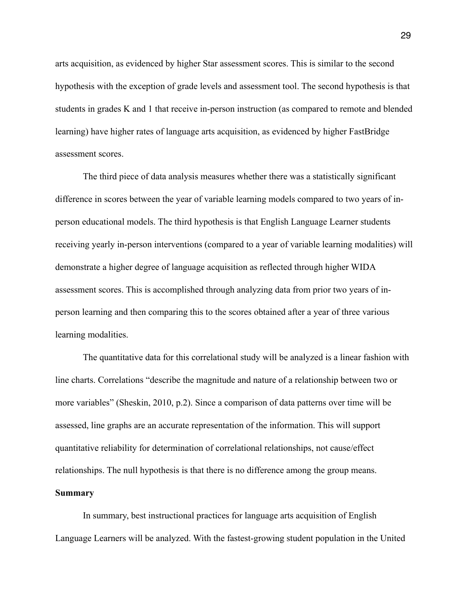arts acquisition, as evidenced by higher Star assessment scores. This is similar to the second hypothesis with the exception of grade levels and assessment tool. The second hypothesis is that students in grades K and 1 that receive in-person instruction (as compared to remote and blended learning) have higher rates of language arts acquisition, as evidenced by higher FastBridge assessment scores.

 The third piece of data analysis measures whether there was a statistically significant difference in scores between the year of variable learning models compared to two years of inperson educational models. The third hypothesis is that English Language Learner students receiving yearly in-person interventions (compared to a year of variable learning modalities) will demonstrate a higher degree of language acquisition as reflected through higher WIDA assessment scores. This is accomplished through analyzing data from prior two years of inperson learning and then comparing this to the scores obtained after a year of three various learning modalities.

 The quantitative data for this correlational study will be analyzed is a linear fashion with line charts. Correlations "describe the magnitude and nature of a relationship between two or more variables" (Sheskin, 2010, p.2). Since a comparison of data patterns over time will be assessed, line graphs are an accurate representation of the information. This will support quantitative reliability for determination of correlational relationships, not cause/effect relationships. The null hypothesis is that there is no difference among the group means. **Summary**

In summary, best instructional practices for language arts acquisition of English Language Learners will be analyzed. With the fastest-growing student population in the United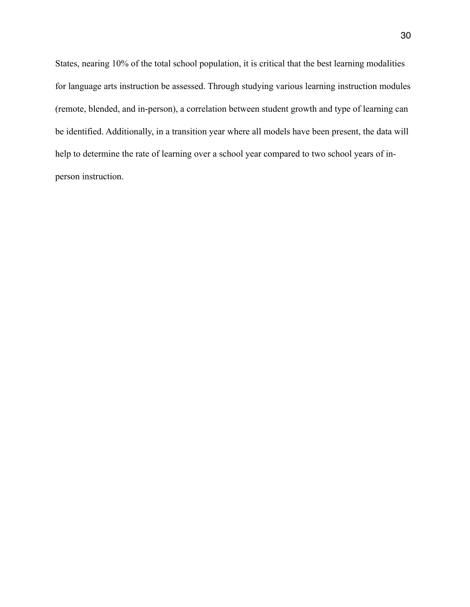States, nearing 10% of the total school population, it is critical that the best learning modalities for language arts instruction be assessed. Through studying various learning instruction modules (remote, blended, and in-person), a correlation between student growth and type of learning can be identified. Additionally, in a transition year where all models have been present, the data will help to determine the rate of learning over a school year compared to two school years of inperson instruction.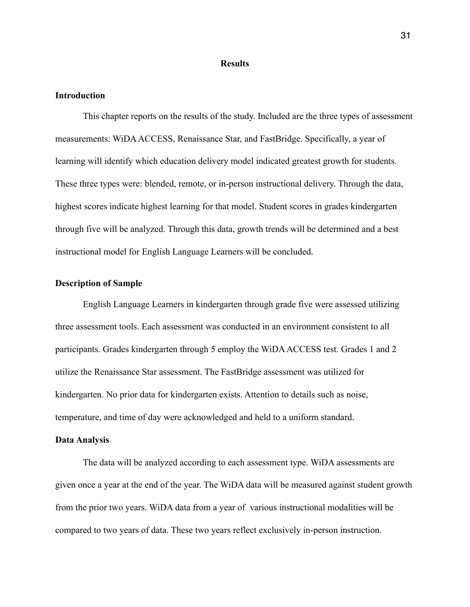#### **Results**

#### **Introduction**

This chapter reports on the results of the study. Included are the three types of assessment measurements: WiDA ACCESS, Renaissance Star, and FastBridge. Specifically, a year of learning will identify which education delivery model indicated greatest growth for students. These three types were: blended, remote, or in-person instructional delivery. Through the data, highest scores indicate highest learning for that model. Student scores in grades kindergarten through five will be analyzed. Through this data, growth trends will be determined and a best instructional model for English Language Learners will be concluded.

#### **Description of Sample**

English Language Learners in kindergarten through grade five were assessed utilizing three assessment tools. Each assessment was conducted in an environment consistent to all participants. Grades kindergarten through 5 employ the WiDA ACCESS test. Grades 1 and 2 utilize the Renaissance Star assessment. The FastBridge assessment was utilized for kindergarten. No prior data for kindergarten exists. Attention to details such as noise, temperature, and time of day were acknowledged and held to a uniform standard.

#### **Data Analysis**

The data will be analyzed according to each assessment type. WiDA assessments are given once a year at the end of the year. The WiDA data will be measured against student growth from the prior two years. WiDA data from a year of various instructional modalities will be compared to two years of data. These two years reflect exclusively in-person instruction.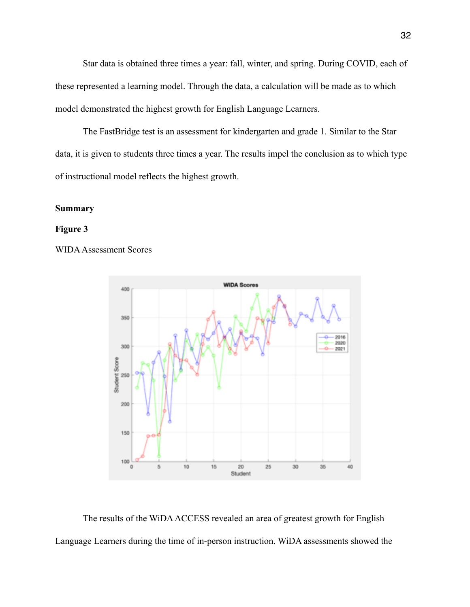Star data is obtained three times a year: fall, winter, and spring. During COVID, each of these represented a learning model. Through the data, a calculation will be made as to which model demonstrated the highest growth for English Language Learners.

 The FastBridge test is an assessment for kindergarten and grade 1. Similar to the Star data, it is given to students three times a year. The results impel the conclusion as to which type of instructional model reflects the highest growth.

## **Summary**

## **Figure 3**

## WIDA Assessment Scores



The results of the WiDA ACCESS revealed an area of greatest growth for English Language Learners during the time of in-person instruction. WiDA assessments showed the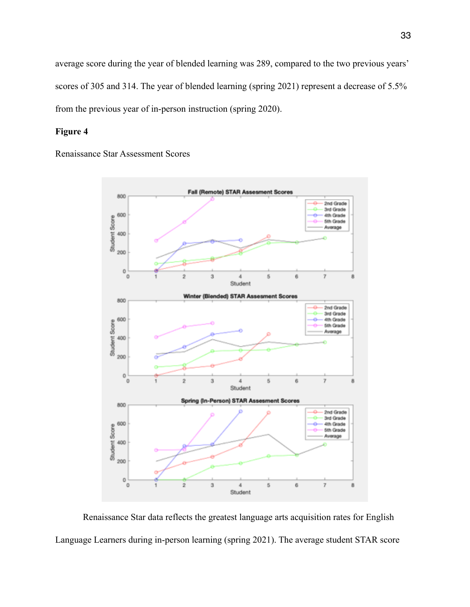average score during the year of blended learning was 289, compared to the two previous years' scores of 305 and 314. The year of blended learning (spring 2021) represent a decrease of 5.5% from the previous year of in-person instruction (spring 2020).

## **Figure 4**

Renaissance Star Assessment Scores



 Renaissance Star data reflects the greatest language arts acquisition rates for English Language Learners during in-person learning (spring 2021). The average student STAR score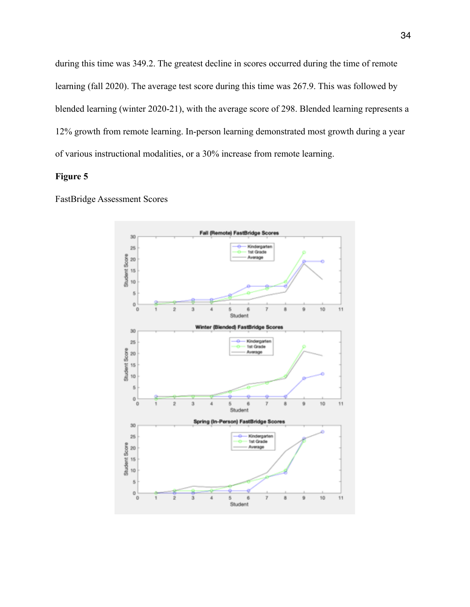during this time was 349.2. The greatest decline in scores occurred during the time of remote learning (fall 2020). The average test score during this time was 267.9. This was followed by blended learning (winter 2020-21), with the average score of 298. Blended learning represents a 12% growth from remote learning. In-person learning demonstrated most growth during a year of various instructional modalities, or a 30% increase from remote learning.

## **Figure 5**

FastBridge Assessment Scores

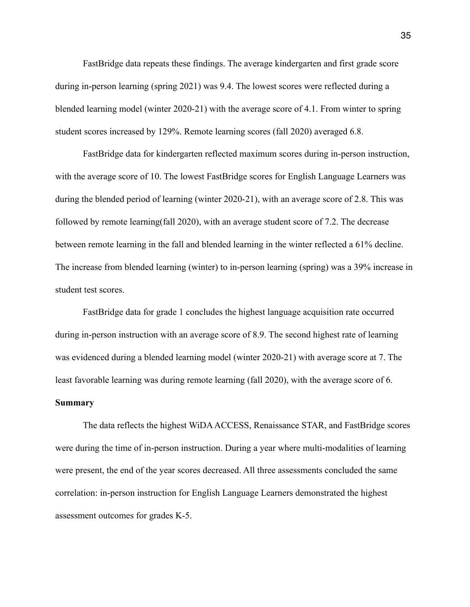FastBridge data repeats these findings. The average kindergarten and first grade score during in-person learning (spring 2021) was 9.4. The lowest scores were reflected during a blended learning model (winter 2020-21) with the average score of 4.1. From winter to spring student scores increased by 129%. Remote learning scores (fall 2020) averaged 6.8.

 FastBridge data for kindergarten reflected maximum scores during in-person instruction, with the average score of 10. The lowest FastBridge scores for English Language Learners was during the blended period of learning (winter 2020-21), with an average score of 2.8. This was followed by remote learning(fall 2020), with an average student score of 7.2. The decrease between remote learning in the fall and blended learning in the winter reflected a 61% decline. The increase from blended learning (winter) to in-person learning (spring) was a 39% increase in student test scores.

 FastBridge data for grade 1 concludes the highest language acquisition rate occurred during in-person instruction with an average score of 8.9. The second highest rate of learning was evidenced during a blended learning model (winter 2020-21) with average score at 7. The least favorable learning was during remote learning (fall 2020), with the average score of 6.

## **Summary**

 The data reflects the highest WiDA ACCESS, Renaissance STAR, and FastBridge scores were during the time of in-person instruction. During a year where multi-modalities of learning were present, the end of the year scores decreased. All three assessments concluded the same correlation: in-person instruction for English Language Learners demonstrated the highest assessment outcomes for grades K-5.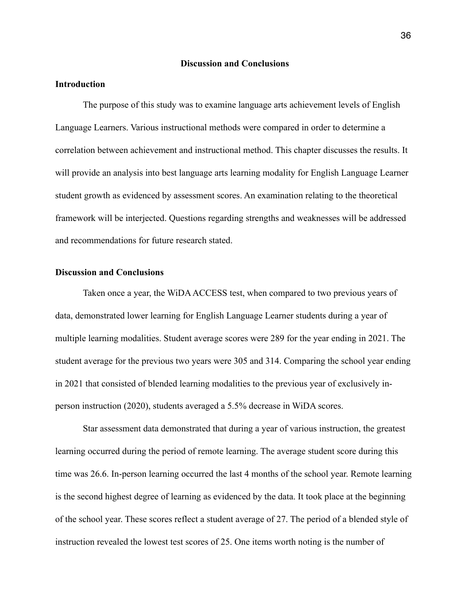#### **Discussion and Conclusions**

## **Introduction**

 The purpose of this study was to examine language arts achievement levels of English Language Learners. Various instructional methods were compared in order to determine a correlation between achievement and instructional method. This chapter discusses the results. It will provide an analysis into best language arts learning modality for English Language Learner student growth as evidenced by assessment scores. An examination relating to the theoretical framework will be interjected. Questions regarding strengths and weaknesses will be addressed and recommendations for future research stated.

#### **Discussion and Conclusions**

 Taken once a year, the WiDA ACCESS test, when compared to two previous years of data, demonstrated lower learning for English Language Learner students during a year of multiple learning modalities. Student average scores were 289 for the year ending in 2021. The student average for the previous two years were 305 and 314. Comparing the school year ending in 2021 that consisted of blended learning modalities to the previous year of exclusively inperson instruction (2020), students averaged a 5.5% decrease in WiDA scores.

 Star assessment data demonstrated that during a year of various instruction, the greatest learning occurred during the period of remote learning. The average student score during this time was 26.6. In-person learning occurred the last 4 months of the school year. Remote learning is the second highest degree of learning as evidenced by the data. It took place at the beginning of the school year. These scores reflect a student average of 27. The period of a blended style of instruction revealed the lowest test scores of 25. One items worth noting is the number of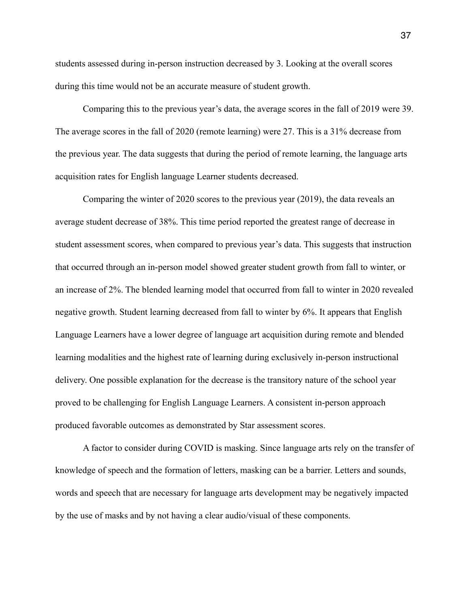students assessed during in-person instruction decreased by 3. Looking at the overall scores during this time would not be an accurate measure of student growth.

 Comparing this to the previous year's data, the average scores in the fall of 2019 were 39. The average scores in the fall of 2020 (remote learning) were 27. This is a 31% decrease from the previous year. The data suggests that during the period of remote learning, the language arts acquisition rates for English language Learner students decreased.

 Comparing the winter of 2020 scores to the previous year (2019), the data reveals an average student decrease of 38%. This time period reported the greatest range of decrease in student assessment scores, when compared to previous year's data. This suggests that instruction that occurred through an in-person model showed greater student growth from fall to winter, or an increase of 2%. The blended learning model that occurred from fall to winter in 2020 revealed negative growth. Student learning decreased from fall to winter by 6%. It appears that English Language Learners have a lower degree of language art acquisition during remote and blended learning modalities and the highest rate of learning during exclusively in-person instructional delivery. One possible explanation for the decrease is the transitory nature of the school year proved to be challenging for English Language Learners. A consistent in-person approach produced favorable outcomes as demonstrated by Star assessment scores.

 A factor to consider during COVID is masking. Since language arts rely on the transfer of knowledge of speech and the formation of letters, masking can be a barrier. Letters and sounds, words and speech that are necessary for language arts development may be negatively impacted by the use of masks and by not having a clear audio/visual of these components.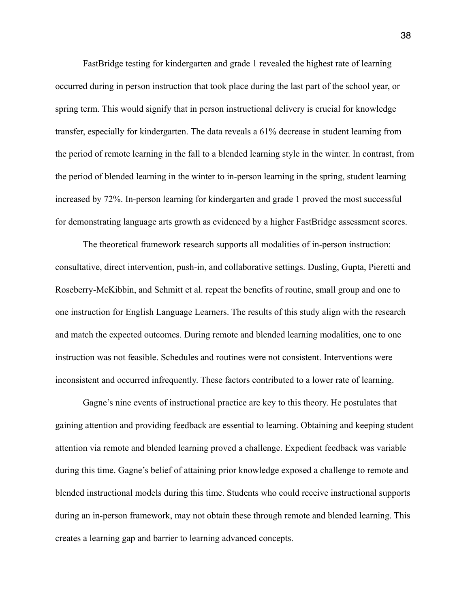FastBridge testing for kindergarten and grade 1 revealed the highest rate of learning occurred during in person instruction that took place during the last part of the school year, or spring term. This would signify that in person instructional delivery is crucial for knowledge transfer, especially for kindergarten. The data reveals a 61% decrease in student learning from the period of remote learning in the fall to a blended learning style in the winter. In contrast, from the period of blended learning in the winter to in-person learning in the spring, student learning increased by 72%. In-person learning for kindergarten and grade 1 proved the most successful for demonstrating language arts growth as evidenced by a higher FastBridge assessment scores.

 The theoretical framework research supports all modalities of in-person instruction: consultative, direct intervention, push-in, and collaborative settings. Dusling, Gupta, Pieretti and Roseberry-McKibbin, and Schmitt et al. repeat the benefits of routine, small group and one to one instruction for English Language Learners. The results of this study align with the research and match the expected outcomes. During remote and blended learning modalities, one to one instruction was not feasible. Schedules and routines were not consistent. Interventions were inconsistent and occurred infrequently. These factors contributed to a lower rate of learning.

 Gagne's nine events of instructional practice are key to this theory. He postulates that gaining attention and providing feedback are essential to learning. Obtaining and keeping student attention via remote and blended learning proved a challenge. Expedient feedback was variable during this time. Gagne's belief of attaining prior knowledge exposed a challenge to remote and blended instructional models during this time. Students who could receive instructional supports during an in-person framework, may not obtain these through remote and blended learning. This creates a learning gap and barrier to learning advanced concepts.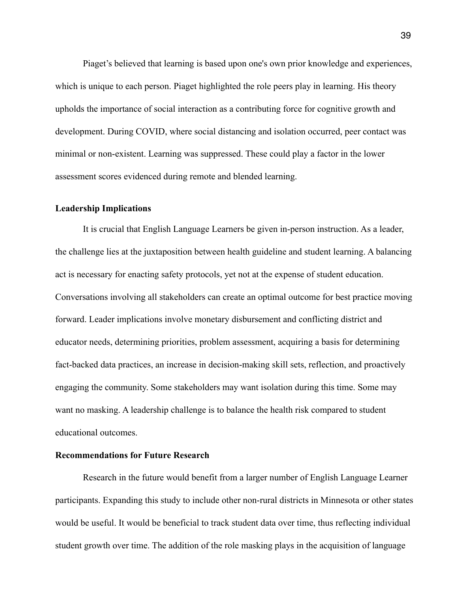Piaget's believed that learning is based upon one's own prior knowledge and experiences, which is unique to each person. Piaget highlighted the role peers play in learning. His theory upholds the importance of social interaction as a contributing force for cognitive growth and development. During COVID, where social distancing and isolation occurred, peer contact was minimal or non-existent. Learning was suppressed. These could play a factor in the lower assessment scores evidenced during remote and blended learning.

#### **Leadership Implications**

It is crucial that English Language Learners be given in-person instruction. As a leader, the challenge lies at the juxtaposition between health guideline and student learning. A balancing act is necessary for enacting safety protocols, yet not at the expense of student education. Conversations involving all stakeholders can create an optimal outcome for best practice moving forward. Leader implications involve monetary disbursement and conflicting district and educator needs, determining priorities, problem assessment, acquiring a basis for determining fact-backed data practices, an increase in decision-making skill sets, reflection, and proactively engaging the community. Some stakeholders may want isolation during this time. Some may want no masking. A leadership challenge is to balance the health risk compared to student educational outcomes.

## **Recommendations for Future Research**

Research in the future would benefit from a larger number of English Language Learner participants. Expanding this study to include other non-rural districts in Minnesota or other states would be useful. It would be beneficial to track student data over time, thus reflecting individual student growth over time. The addition of the role masking plays in the acquisition of language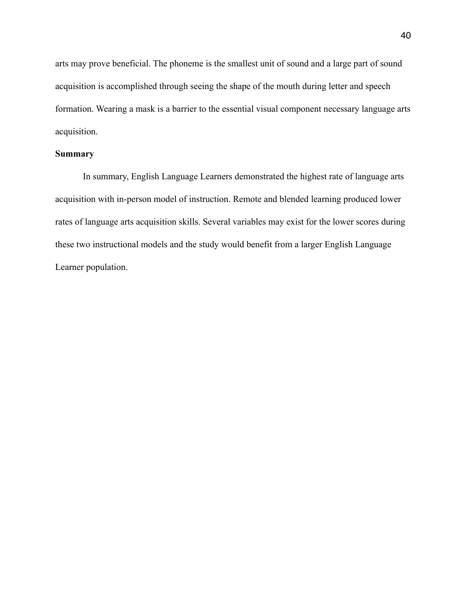arts may prove beneficial. The phoneme is the smallest unit of sound and a large part of sound acquisition is accomplished through seeing the shape of the mouth during letter and speech formation. Wearing a mask is a barrier to the essential visual component necessary language arts acquisition.

## **Summary**

In summary, English Language Learners demonstrated the highest rate of language arts acquisition with in-person model of instruction. Remote and blended learning produced lower rates of language arts acquisition skills. Several variables may exist for the lower scores during these two instructional models and the study would benefit from a larger English Language Learner population.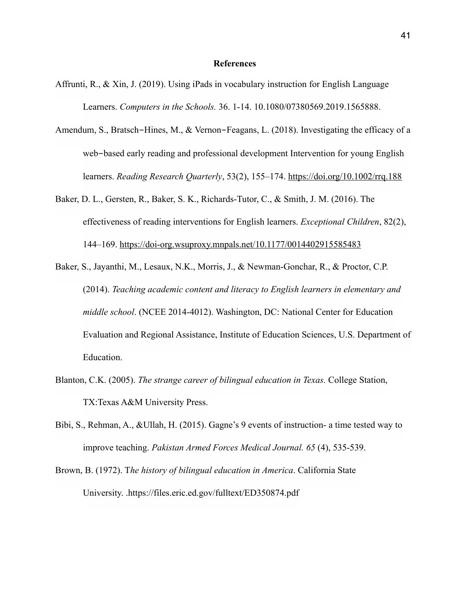#### **References**

- Affrunti, R., & Xin, J. (2019). Using iPads in vocabulary instruction for English Language Learners. *Computers in the Schools.* 36. 1-14. 10.1080/07380569.2019.1565888.
- Amendum, S., Bratsch-Hines, M., & Vernon-Feagans, L. (2018). Investigating the efficacy of a web-based early reading and professional development Intervention for young English learners. *Reading Research Quarterly*, 53(2), 155–174. <https://doi.org/10.1002/rrq.188>
- Baker, D. L., Gersten, R., Baker, S. K., Richards-Tutor, C., & Smith, J. M. (2016). The effectiveness of reading interventions for English learners. *Exceptional Children*, 82(2), 144–169. <https://doi-org.wsuproxy.mnpals.net/10.1177/0014402915585483>
- Baker, S., Jayanthi, M., Lesaux, N.K., Morris, J., & Newman-Gonchar, R., & Proctor, C.P. (2014). *Teaching academic content and literacy to English learners in elementary and middle school*. (NCEE 2014-4012). Washington, DC: National Center for Education Evaluation and Regional Assistance, Institute of Education Sciences, U.S. Department of Education.
- Blanton, C.K. (2005). *The strange career of bilingual education in Texas.* College Station, TX:Texas A&M University Press.
- Bibi, S., Rehman, A., &Ullah, H. (2015). Gagne's 9 events of instruction- a time tested way to improve teaching. *Pakistan Armed Forces Medical Journal. 65* (4), 535-539.
- Brown, B. (1972). T*he history of bilingual education in America*. California State University. .https://files.eric.ed.gov/fulltext/ED350874.pdf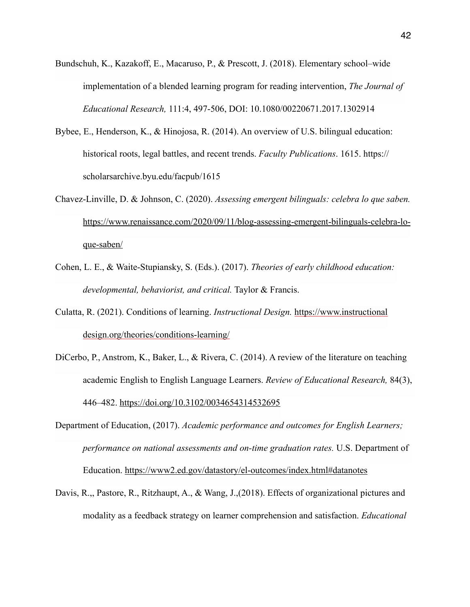- Bundschuh, K., Kazakoff, E., Macaruso, P., & Prescott, J. (2018). Elementary school–wide implementation of a blended learning program for reading intervention, *The Journal of Educational Research,* 111:4, 497-506, DOI: 10.1080/00220671.2017.1302914
- Bybee, E., Henderson, K., & Hinojosa, R. (2014). An overview of U.S. bilingual education: historical roots, legal battles, and recent trends. *Faculty Publications*. 1615. https:// scholarsarchive.byu.edu/facpub/1615
- Chavez-Linville, D. & Johnson, C. (2020). *Assessing emergent bilinguals: celebra lo que saben.* [https://www.renaissance.com/2020/09/11/blog-assessing-emergent-bilinguals-celebra-lo](https://www.renaissance.com/2020/09/11/blog-assessing-emergent-bilinguals-celebra-lo-que-saben/)que-saben/
- Cohen, L. E., & Waite-Stupiansky, S. (Eds.). (2017). *Theories of early childhood education: developmental, behaviorist, and critical.* Taylor & Francis.
- Culatta, R. (2021). Conditions of learning. *Instructional Design.* <https://www.instructional> [design.org/theories/conditions-learning/](http://design.org/theories/conditions-learning/)
- DiCerbo, P., Anstrom, K., Baker, L., & Rivera, C. (2014). A review of the literature on teaching academic English to English Language Learners. *Review of Educational Research,* 84(3), 446–482. <https://doi.org/10.3102/0034654314532695>
- Department of Education, (2017). *Academic performance and outcomes for English Learners; performance on national assessments and on-time graduation rates.* U.S. Department of Education. <https://www2.ed.gov/datastory/el-outcomes/index.html#datanotes>
- Davis, R.,, Pastore, R., Ritzhaupt, A., & Wang, J.,(2018). Effects of organizational pictures and modality as a feedback strategy on learner comprehension and satisfaction. *Educational*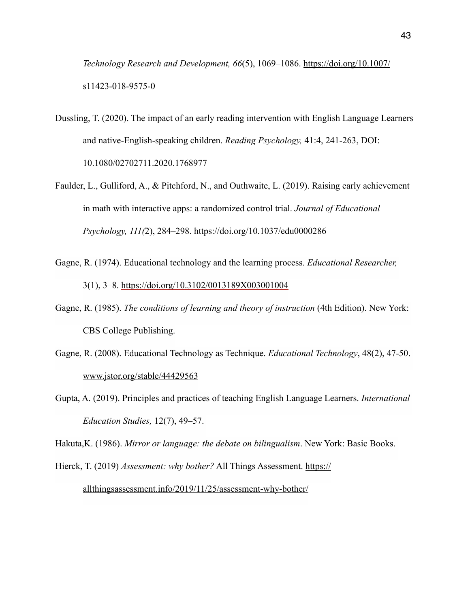*[Technology Research and Development, 66](https://doi.org/10.1007/s11423-018-9575-0)*(5), 1069–1086. https://doi.org/10.1007/ s11423-018-9575-0

- Dussling, T. (2020). The impact of an early reading intervention with English Language Learners and native-English-speaking children. *Reading Psychology,* 41:4, 241-263, DOI: 10.1080/02702711.2020.1768977
- Faulder, L., Gulliford, A., & Pitchford, N., and Outhwaite, L. (2019). Raising early achievement in math with interactive apps: a randomized control trial. *Journal of Educational Psychology, 111(*2), 284–298. <https://doi.org/10.1037/edu0000286>
- Gagne, R. (1974). Educational technology and the learning process. *Educational Researcher,*  3(1), 3–8. <https://doi.org/10.3102/0013189X003001004>
- Gagne, R. (1985). *The conditions of learning and theory of instruction* (4th Edition). New York: CBS College Publishing.
- Gagne, R. (2008). Educational Technology as Technique. *Educational Technology*, 48(2), 47-50. www.jstor.org/stable/44429563
- Gupta, A. (2019). Principles and practices of teaching English Language Learners. *International Education Studies,* 12(7), 49–57.

Hakuta,K. (1986). *Mirror or language: the debate on bilingualism*. New York: Basic Books.

Hierck, T. (2019) *Assessment: why bother?* All Things Assessment. https://

[allthingsassessment.info/2019/11/25/assessment-why-bother/](https://allthingsassessment.info/2019/11/25/assessment-why-bother/)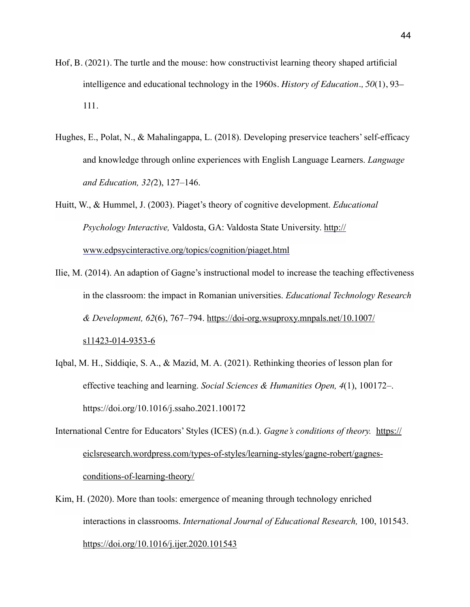- Hof, B. (2021). The turtle and the mouse: how constructivist learning theory shaped artificial intelligence and educational technology in the 1960s. *History of Education., 50*(1), 93– 111.
- Hughes, E., Polat, N., & Mahalingappa, L. (2018). Developing preservice teachers' self-efficacy and knowledge through online experiences with English Language Learners. *Language and Education, 32(*2), 127–146.
- Huitt, W., & Hummel, J. (2003). Piaget's theory of cognitive development. *Educational Psychology Interactive,* Valdosta, GA: Valdosta State University. http:// [www.edpsycinteractive.org/topics/cognition/piaget.html](http://www.edpsycinteractive.org/topics/cognition/piaget.html)
- Ilie, M. (2014). An adaption of Gagne's instructional model to increase the teaching effectiveness in the classroom: the impact in Romanian universities. *Educational Technology Research & Development, 62*[\(6\), 767–794. https://doi-org.wsuproxy.mnpals.net/10.1007/](https://doi-org.wsuproxy.mnpals.net/10.1007/s11423-014-9353-6) s11423-014-9353-6
- Iqbal, M. H., Siddiqie, S. A., & Mazid, M. A. (2021). Rethinking theories of lesson plan for effective teaching and learning. *Social Sciences & Humanities Open, 4*(1), 100172–. https://doi.org/10.1016/j.ssaho.2021.100172
- International Centre for Educators' Styles (ICES) (n.d.). *Gagne's conditions of theory.* https:// [eiclsresearch.wordpress.com/types-of-styles/learning-styles/gagne-robert/gagnes](https://eiclsresearch.wordpress.com/types-of-styles/learning-styles/gagne-robert/gagnes-conditions-of-learning-theory/)conditions-of-learning-theory/
- Kim, H. (2020). More than tools: emergence of meaning through technology enriched interactions in classrooms. *International Journal of Educational Research,* 100, 101543. <https://doi.org/10.1016/j.ijer.2020.101543>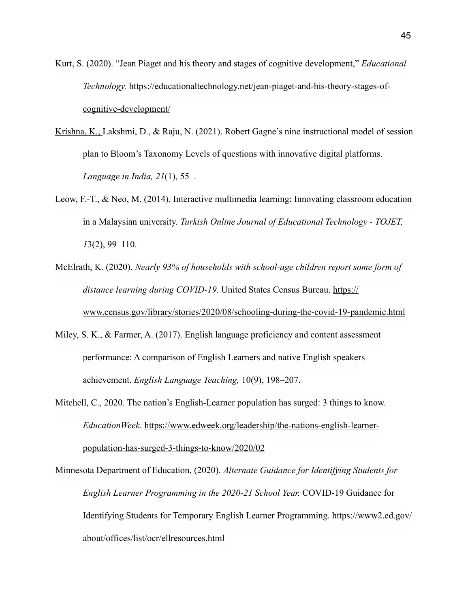Kurt, S. (2020). "Jean Piaget and his theory and stages of cognitive development," *Educational Technology.* [https://educationaltechnology.net/jean-piaget-and-his-theory-stages-of](https://educationaltechnology.net/jean-piaget-and-his-theory-stages-of-cognitive-development/)cognitive-development/

- Krishna, K., Lakshmi, D., & Raju, N. (2021). Robert Gagne's nine instructional model of session plan to Bloom's Taxonomy Levels of questions with innovative digital platforms. *Language in India, 21*(1), 55–.
- Leow, F.-T., & Neo, M. (2014). Interactive multimedia learning: Innovating classroom education in a Malaysian university. *Turkish Online Journal of Educational Technology - TOJET, 1*3(2), 99–110.
- McElrath, K. (2020). *Nearly 93% of households with school-age children report some form of distance learning during COVID-19.* United States Census Bureau. https:// [www.census.gov/library/stories/2020/08/schooling-during-the-covid-19-pandemic.html](https://www.census.gov/library/stories/2020/08/schooling-during-the-covid-19-pandemic.html)
- Miley, S. K., & Farmer, A. (2017). English language proficiency and content assessment performance: A comparison of English Learners and native English speakers achievement. *English Language Teaching,* 10(9), 198–207.
- Mitchell, C., 2020. The nation's English-Learner population has surged: 3 things to know. *EducationWeek*[. https://www.edweek.org/leadership/the-nations-english-learner](https://www.edweek.org/leadership/the-nations-english-learner-population-has-surged-3-things-to-know/2020/02)population-has-surged-3-things-to-know/2020/02

Minnesota Department of Education, (2020). *Alternate Guidance for Identifying Students for English Learner Programming in the 2020-21 School Year.* COVID-19 Guidance for Identifying Students for Temporary English Learner Programming. https://www2.ed.gov/ about/offices/list/ocr/ellresources.html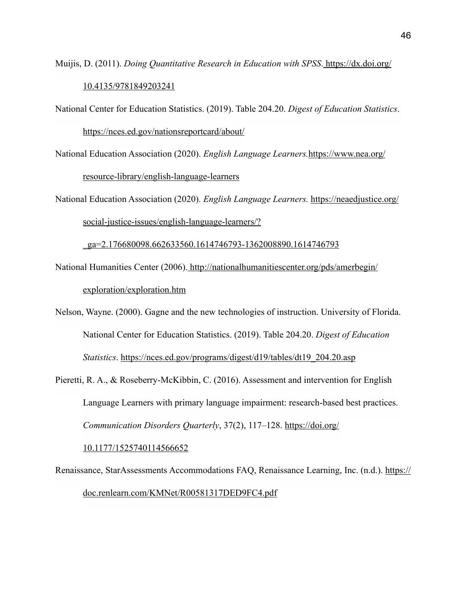- Muijis, D. (2011). *[Doing Quantitative Research in Education with SPSS](https://dx.doi.org/10.4135/9781849203241)*. https://dx.doi.org/ 10.4135/9781849203241
- National Center for Education Statistics. (2019). Table 204.20. *Digest of Education Statistics*. https://nces.ed.gov/nationsreportcard/about/
- National Education Association (2020). *English Language Learners.*https://www.nea.org/

[resource-library/english-language-learners](https://www.nea.org/resource-library/english-language-learners)

National Education Association (2020). *English Language Learners.* https://neaedjustice.org/ social-justice-issues/english-language-learners/?

[\\_ga=2.176680098.662633560.1614746793-1362008890.1614746793](https://neaedjustice.org/social-justice-issues/english-language-learners/?_ga=2.176680098.662633560.1614746793-1362008890.1614746793)

- National Humanities Center (2006). http://nationalhumanitiescenter.org/pds/amerbegin/ exploration/exploration.htm
- Nelson, Wayne. (2000). Gagne and the new technologies of instruction. University of Florida. National Center for Education Statistics. (2019). Table 204.20. *Digest of Education Statistics*. [https://nces.ed.gov/programs/digest/d19/tables/dt19\\_204.20.asp](https://nces.ed.gov/programs/digest/d19/tables/dt19_204.20.asp)
- Pieretti, R. A., & Roseberry-McKibbin, C. (2016). Assessment and intervention for English Language Learners with primary language impairment: research-based best practices. *[Communication Disorders Quarterly](https://doi.org/10.1177/1525740114566652)*, 37(2), 117–128. https://doi.org/

10.1177/1525740114566652

Renais[sance, StarAssessments Accommodations FAQ, Renaissance Learning, Inc. \(n.d.\). https://](https://doc.renlearn.com/KMNet/R00581317DED9FC4.pdf) doc.renlearn.com/KMNet/R00581317DED9FC4.pdf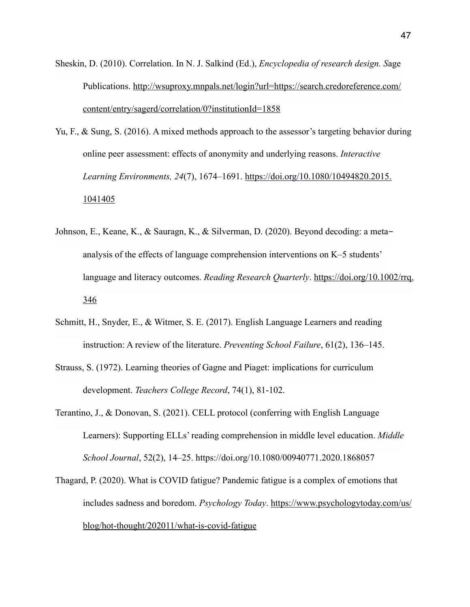- Sheskin, D. (2010). Correlation. In N. J. Salkind (Ed.), *Encyclopedia of research design. S*age [Publications. http://wsuproxy.mnpals.net/login?url=https://search.credoreference.com/](http://wsuproxy.mnpals.net/login?url=https://search.credoreference.com/content/entry/sagerd/correlation/0?institutionId=1858) content/entry/sagerd/correlation/0?institutionId=1858
- Yu, F., & Sung, S. (2016). A mixed methods approach to the assessor's targeting behavior during online peer assessment: effects of anonymity and underlying reasons. *Interactive Learning Environments, 24*(7), 1674–1691. [https://doi.org/10.1080/10494820.2015.](https://doi.org/10.1080/10494820.2015.1041405)  1041405
- Johnson, E., Keane, K., & Sauragn, K., & Silverman, D. (2020). Beyond decoding: a metaanalysis of the effects of language comprehension interventions on K–5 students' [language and literacy outcomes.](https://doi.org/10.1002/rrq.346) *Reading Research Quarterly*. https://doi.org/10.1002/rrq. 346
- Schmitt, H., Snyder, E., & Witmer, S. E. (2017). English Language Learners and reading instruction: A review of the literature. *Preventing School Failure*, 61(2), 136–145.
- Strauss, S. (1972). Learning theories of Gagne and Piaget: implications for curriculum development. *Teachers College Record*, 74(1), 81-102.
- Terantino, J., & Donovan, S. (2021). CELL protocol (conferring with English Language Learners): Supporting ELLs' reading comprehension in middle level education. *Middle School Journal*, 52(2), 14–25. https://doi.org/10.1080/00940771.2020.1868057
- Thagard, P. (2020). What is COVID fatigue? Pandemic fatigue is a complex of emotions that includes sadness and boredom. *Psychology Today*. https://www.psychologytoday.com/us/ [blog/hot-thought/202011/what-is-covid-fatigue](https://www.psychologytoday.com/us/blog/hot-thought/202011/what-is-covid-fatigue)